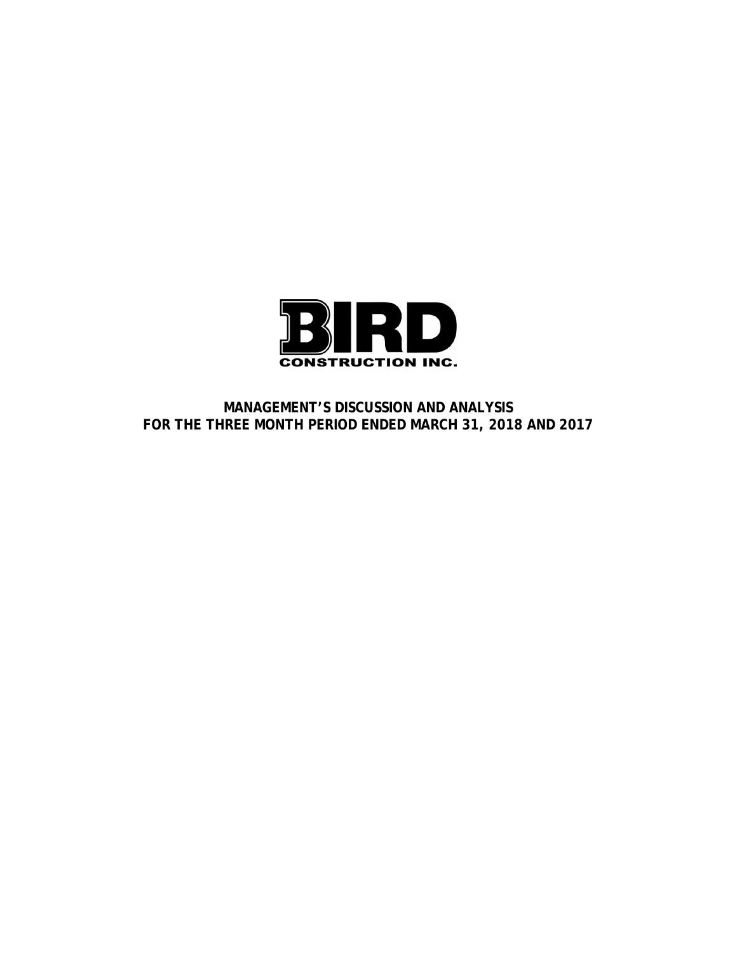

**MANAGEMENT'S DISCUSSION AND ANALYSIS FOR THE THREE MONTH PERIOD ENDED MARCH 31, 2018 AND 2017**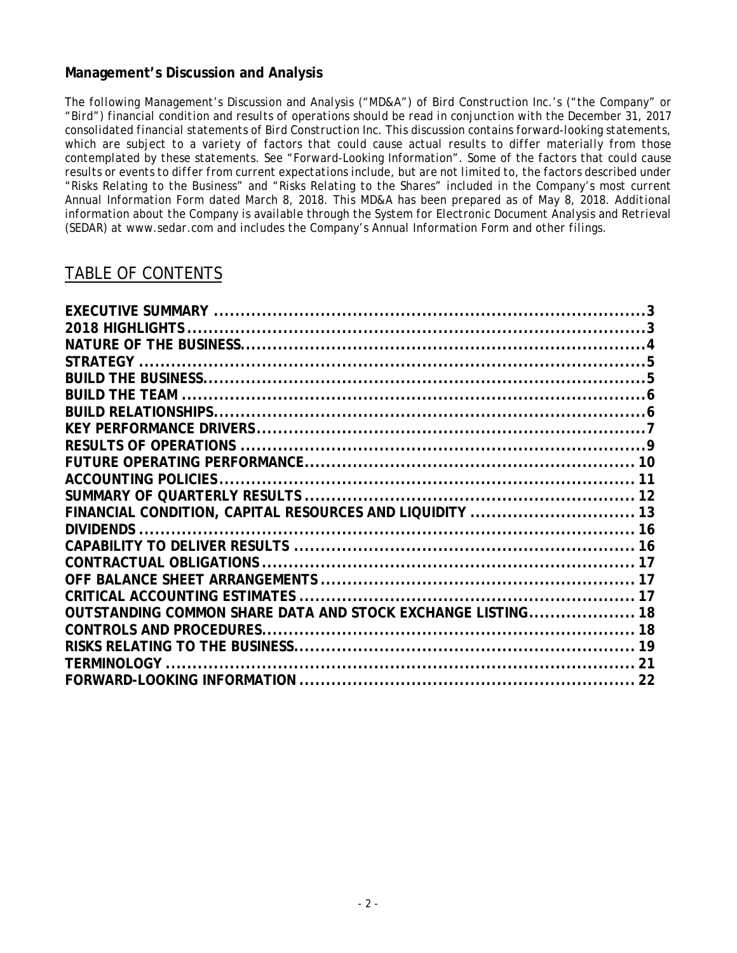# **Management's Discussion and Analysis**

*The following Management's Discussion and Analysis ("MD&A") of Bird Construction Inc.'s ("the Company" or "Bird") financial condition and results of operations should be read in conjunction with the December 31, 2017 consolidated financial statements of Bird Construction Inc. This discussion contains forward-looking statements, which are subject to a variety of factors that could cause actual results to differ materially from those contemplated by these statements. See "Forward-Looking Information". Some of the factors that could cause results or events to differ from current expectations include, but are not limited to, the factors described under "Risks Relating to the Business" and "Risks Relating to the Shares" included in the Company's most current Annual Information Form dated March 8, 2018. This MD&A has been prepared as of May 8, 2018. Additional information about the Company is available through the System for Electronic Document Analysis and Retrieval (SEDAR) at www.sedar.com and includes the Company's Annual Information Form and other filings.*

# TABLE OF CONTENTS

|                                                             | 10 |
|-------------------------------------------------------------|----|
|                                                             |    |
|                                                             |    |
| FINANCIAL CONDITION, CAPITAL RESOURCES AND LIQUIDITY  13    |    |
|                                                             |    |
|                                                             |    |
|                                                             |    |
|                                                             |    |
|                                                             |    |
| OUTSTANDING COMMON SHARE DATA AND STOCK EXCHANGE LISTING 18 |    |
|                                                             |    |
|                                                             |    |
|                                                             |    |
|                                                             |    |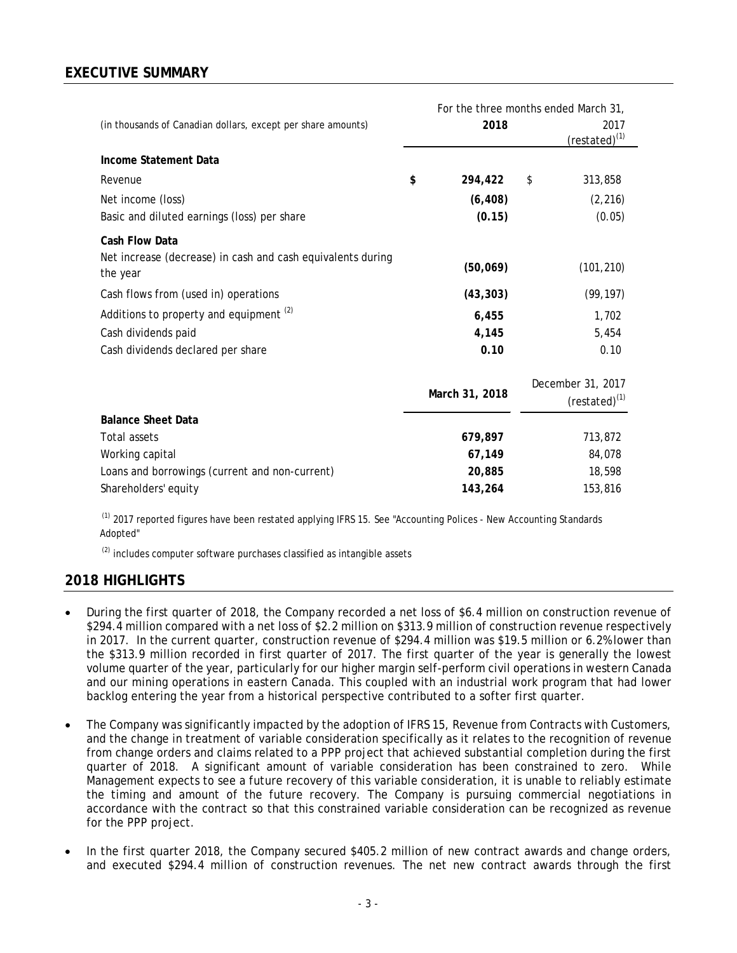# **EXECUTIVE SUMMARY**

| (in thousands of Canadian dollars, except per share amounts)            | For the three months ended March 31,<br>2018 | 2017<br>(restated) <sup>(1)</sup>     |
|-------------------------------------------------------------------------|----------------------------------------------|---------------------------------------|
| Income Statement Data                                                   |                                              |                                       |
| Revenue                                                                 | \$<br>294,422                                | \$<br>313,858                         |
| Net income (loss)                                                       | (6, 408)                                     | (2, 216)                              |
| Basic and diluted earnings (loss) per share                             | (0.15)                                       | (0.05)                                |
| Cash Flow Data                                                          |                                              |                                       |
| Net increase (decrease) in cash and cash equivalents during<br>the year | (50,069)                                     | (101, 210)                            |
| Cash flows from (used in) operations                                    | (43, 303)                                    | (99, 197)                             |
| Additions to property and equipment <sup>(2)</sup>                      | 6,455                                        | 1,702                                 |
| Cash dividends paid                                                     | 4,145                                        | 5,454                                 |
| Cash dividends declared per share                                       | 0.10                                         | 0.10                                  |
|                                                                         | March 31, 2018                               | December 31, 2017<br>$(rested)^{(1)}$ |
| <b>Balance Sheet Data</b>                                               |                                              |                                       |
| <b>Total assets</b>                                                     | 679,897                                      | 713,872                               |
| Working capital                                                         | 67,149                                       | 84,078                                |
| Loans and borrowings (current and non-current)                          | 20,885                                       | 18,598                                |
| Shareholders' equity                                                    | 143,264                                      | 153,816                               |

<sup>(1)</sup> 2017 reported figures have been restated applying IFRS 15. See "Accounting Polices - New Accounting Standards Adopted"

<sup>(2)</sup> includes computer software purchases classified as intangible assets

## **2018 HIGHLIGHTS**

- During the first quarter of 2018, the Company recorded a net loss of \$6.4 million on construction revenue of \$294.4 million compared with a net loss of \$2.2 million on \$313.9 million of construction revenue respectively in 2017. In the current quarter, construction revenue of \$294.4 million was \$19.5 million or 6.2% lower than the \$313.9 million recorded in first quarter of 2017. The first quarter of the year is generally the lowest volume quarter of the year, particularly for our higher margin self-perform civil operations in western Canada and our mining operations in eastern Canada. This coupled with an industrial work program that had lower backlog entering the year from a historical perspective contributed to a softer first quarter.
- The Company was significantly impacted by the adoption of IFRS 15, Revenue from Contracts with Customers, and the change in treatment of variable consideration specifically as it relates to the recognition of revenue from change orders and claims related to a PPP project that achieved substantial completion during the first quarter of 2018. A significant amount of variable consideration has been constrained to zero. While Management expects to see a future recovery of this variable consideration, it is unable to reliably estimate the timing and amount of the future recovery. The Company is pursuing commercial negotiations in accordance with the contract so that this constrained variable consideration can be recognized as revenue for the PPP project.
- In the first quarter 2018, the Company secured \$405.2 million of new contract awards and change orders, and executed \$294.4 million of construction revenues. The net new contract awards through the first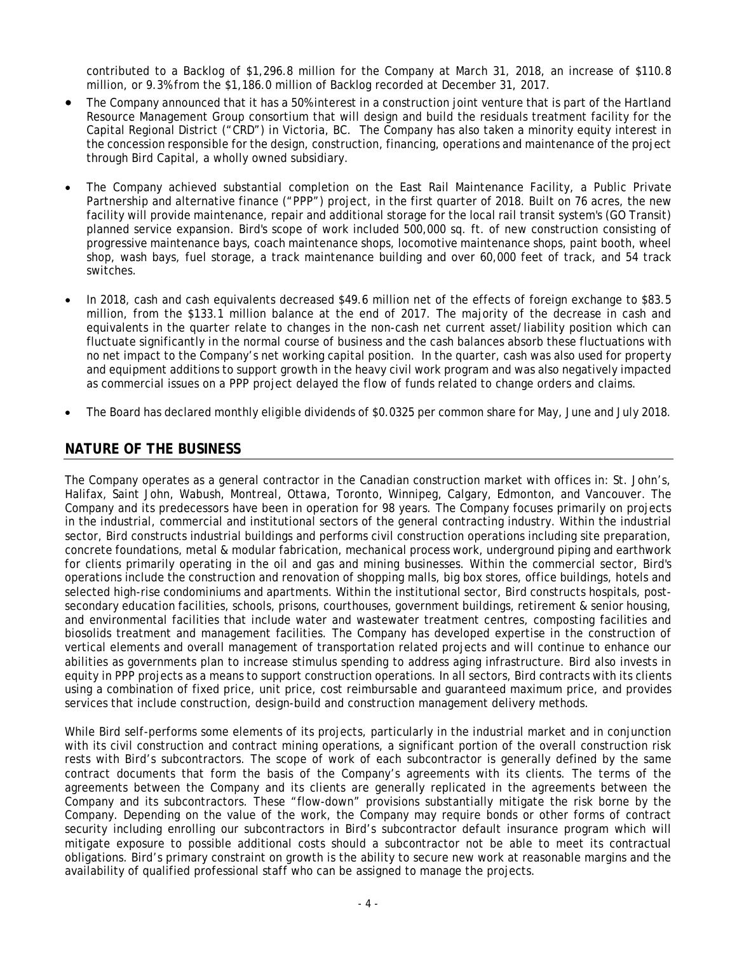contributed to a Backlog of \$1,296.8 million for the Company at March 31, 2018, an increase of \$110.8 million, or 9.3% from the \$1,186.0 million of Backlog recorded at December 31, 2017.

- The Company announced that it has a 50% interest in a construction joint venture that is part of the Hartland Resource Management Group consortium that will design and build the residuals treatment facility for the Capital Regional District ("CRD") in Victoria, BC. The Company has also taken a minority equity interest in the concession responsible for the design, construction, financing, operations and maintenance of the project through Bird Capital, a wholly owned subsidiary.
- The Company achieved substantial completion on the East Rail Maintenance Facility, a Public Private Partnership and alternative finance ("PPP") project, in the first quarter of 2018. Built on 76 acres, the new facility will provide maintenance, repair and additional storage for the local rail transit system's (GO Transit) planned service expansion. Bird's scope of work included 500,000 sq. ft. of new construction consisting of progressive maintenance bays, coach maintenance shops, locomotive maintenance shops, paint booth, wheel shop, wash bays, fuel storage, a track maintenance building and over 60,000 feet of track, and 54 track switches.
- In 2018, cash and cash equivalents decreased \$49.6 million net of the effects of foreign exchange to \$83.5 million, from the \$133.1 million balance at the end of 2017. The majority of the decrease in cash and equivalents in the quarter relate to changes in the non-cash net current asset/liability position which can fluctuate significantly in the normal course of business and the cash balances absorb these fluctuations with no net impact to the Company's net working capital position. In the quarter, cash was also used for property and equipment additions to support growth in the heavy civil work program and was also negatively impacted as commercial issues on a PPP project delayed the flow of funds related to change orders and claims.
- The Board has declared monthly eligible dividends of \$0.0325 per common share for May, June and July 2018.

# **NATURE OF THE BUSINESS**

The Company operates as a general contractor in the Canadian construction market with offices in: St. John's, Halifax, Saint John, Wabush, Montreal, Ottawa, Toronto, Winnipeg, Calgary, Edmonton, and Vancouver. The Company and its predecessors have been in operation for 98 years. The Company focuses primarily on projects in the industrial, commercial and institutional sectors of the general contracting industry. Within the industrial sector, Bird constructs industrial buildings and performs civil construction operations including site preparation, concrete foundations, metal & modular fabrication, mechanical process work, underground piping and earthwork for clients primarily operating in the oil and gas and mining businesses. Within the commercial sector, Bird's operations include the construction and renovation of shopping malls, big box stores, office buildings, hotels and selected high-rise condominiums and apartments. Within the institutional sector, Bird constructs hospitals, postsecondary education facilities, schools, prisons, courthouses, government buildings, retirement & senior housing, and environmental facilities that include water and wastewater treatment centres, composting facilities and biosolids treatment and management facilities. The Company has developed expertise in the construction of vertical elements and overall management of transportation related projects and will continue to enhance our abilities as governments plan to increase stimulus spending to address aging infrastructure. Bird also invests in equity in PPP projects as a means to support construction operations. In all sectors, Bird contracts with its clients using a combination of fixed price, unit price, cost reimbursable and guaranteed maximum price, and provides services that include construction, design-build and construction management delivery methods.

While Bird self-performs some elements of its projects, particularly in the industrial market and in conjunction with its civil construction and contract mining operations, a significant portion of the overall construction risk rests with Bird's subcontractors. The scope of work of each subcontractor is generally defined by the same contract documents that form the basis of the Company's agreements with its clients. The terms of the agreements between the Company and its clients are generally replicated in the agreements between the Company and its subcontractors. These "flow-down" provisions substantially mitigate the risk borne by the Company. Depending on the value of the work, the Company may require bonds or other forms of contract security including enrolling our subcontractors in Bird's subcontractor default insurance program which will mitigate exposure to possible additional costs should a subcontractor not be able to meet its contractual obligations. Bird's primary constraint on growth is the ability to secure new work at reasonable margins and the availability of qualified professional staff who can be assigned to manage the projects.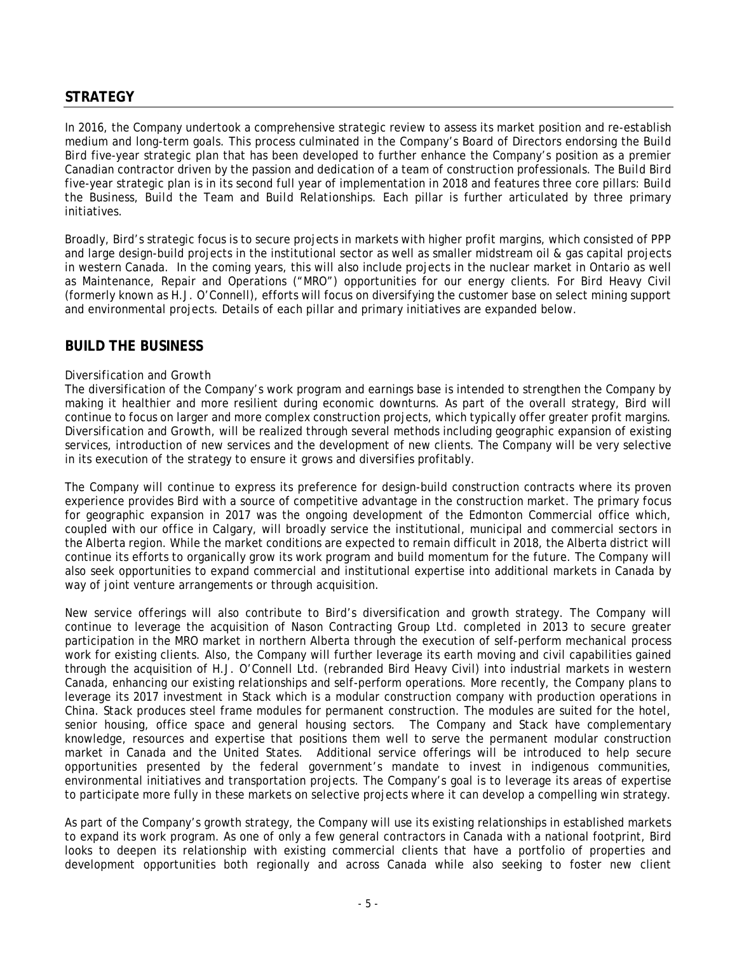## **STRATEGY**

In 2016, the Company undertook a comprehensive strategic review to assess its market position and re-establish medium and long-term goals. This process culminated in the Company's Board of Directors endorsing the *Build Bird* five-year strategic plan that has been developed to further enhance the Company's position as a premier Canadian contractor driven by the passion and dedication of a team of construction professionals. The *Build Bird* five-year strategic plan is in its second full year of implementation in 2018 and features three core pillars: *Build the Business, Build the Team* and *Build Relationships*. Each pillar is further articulated by three primary initiatives.

Broadly, Bird's strategic focus is to secure projects in markets with higher profit margins, which consisted of PPP and large design-build projects in the institutional sector as well as smaller midstream oil & gas capital projects in western Canada. In the coming years, this will also include projects in the nuclear market in Ontario as well as Maintenance, Repair and Operations ("MRO") opportunities for our energy clients. For Bird Heavy Civil (formerly known as H.J. O'Connell), efforts will focus on diversifying the customer base on select mining support and environmental projects. Details of each pillar and primary initiatives are expanded below.

## **BUILD THE BUSINESS**

#### *Diversification and Growth*

The diversification of the Company's work program and earnings base is intended to strengthen the Company by making it healthier and more resilient during economic downturns. As part of the overall strategy, Bird will continue to focus on larger and more complex construction projects, which typically offer greater profit margins. *Diversification and Growth*, will be realized through several methods including geographic expansion of existing services, introduction of new services and the development of new clients. The Company will be very selective in its execution of the strategy to ensure it grows and diversifies profitably.

The Company will continue to express its preference for design-build construction contracts where its proven experience provides Bird with a source of competitive advantage in the construction market. The primary focus for geographic expansion in 2017 was the ongoing development of the Edmonton Commercial office which, coupled with our office in Calgary, will broadly service the institutional, municipal and commercial sectors in the Alberta region. While the market conditions are expected to remain difficult in 2018, the Alberta district will continue its efforts to organically grow its work program and build momentum for the future. The Company will also seek opportunities to expand commercial and institutional expertise into additional markets in Canada by way of joint venture arrangements or through acquisition.

New service offerings will also contribute to Bird's diversification and growth strategy. The Company will continue to leverage the acquisition of Nason Contracting Group Ltd. completed in 2013 to secure greater participation in the MRO market in northern Alberta through the execution of self-perform mechanical process work for existing clients. Also, the Company will further leverage its earth moving and civil capabilities gained through the acquisition of H.J. O'Connell Ltd. (rebranded Bird Heavy Civil) into industrial markets in western Canada, enhancing our existing relationships and self-perform operations. More recently, the Company plans to leverage its 2017 investment in Stack which is a modular construction company with production operations in China. Stack produces steel frame modules for permanent construction. The modules are suited for the hotel, senior housing, office space and general housing sectors. The Company and Stack have complementary knowledge, resources and expertise that positions them well to serve the permanent modular construction market in Canada and the United States. Additional service offerings will be introduced to help secure opportunities presented by the federal government's mandate to invest in indigenous communities, environmental initiatives and transportation projects. The Company's goal is to leverage its areas of expertise to participate more fully in these markets on selective projects where it can develop a compelling win strategy.

As part of the Company's growth strategy, the Company will use its existing relationships in established markets to expand its work program. As one of only a few general contractors in Canada with a national footprint, Bird looks to deepen its relationship with existing commercial clients that have a portfolio of properties and development opportunities both regionally and across Canada while also seeking to foster new client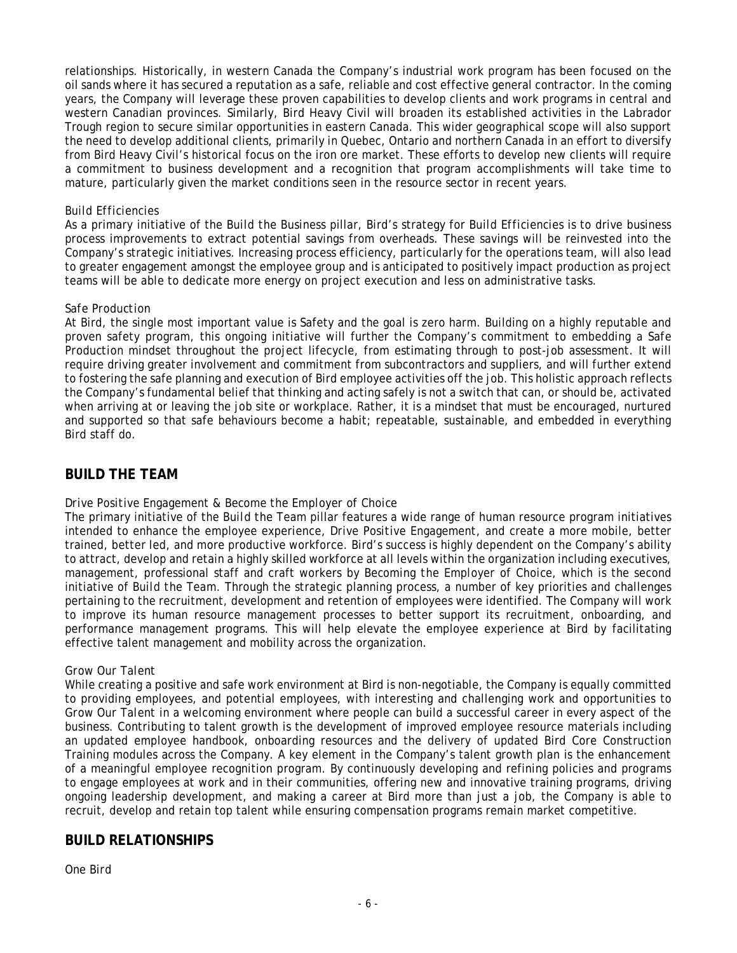relationships. Historically, in western Canada the Company's industrial work program has been focused on the oil sands where it has secured a reputation as a safe, reliable and cost effective general contractor. In the coming years, the Company will leverage these proven capabilities to develop clients and work programs in central and western Canadian provinces. Similarly, Bird Heavy Civil will broaden its established activities in the Labrador Trough region to secure similar opportunities in eastern Canada. This wider geographical scope will also support the need to develop additional clients, primarily in Quebec, Ontario and northern Canada in an effort to diversify from Bird Heavy Civil's historical focus on the iron ore market. These efforts to develop new clients will require a commitment to business development and a recognition that program accomplishments will take time to mature, particularly given the market conditions seen in the resource sector in recent years.

#### *Build Efficiencies*

As a primary initiative of the *Build the Business* pillar, Bird's strategy for *Build Efficiencies* is to drive business process improvements to extract potential savings from overheads. These savings will be reinvested into the Company's strategic initiatives. Increasing process efficiency, particularly for the operations team, will also lead to greater engagement amongst the employee group and is anticipated to positively impact production as project teams will be able to dedicate more energy on project execution and less on administrative tasks.

#### *Safe Production*

At Bird, the single most important value is Safety and the goal is zero harm. Building on a highly reputable and proven safety program, this ongoing initiative will further the Company's commitment to embedding a *Safe Production* mindset throughout the project lifecycle, from estimating through to post-job assessment. It will require driving greater involvement and commitment from subcontractors and suppliers, and will further extend to fostering the safe planning and execution of Bird employee activities off the job. This holistic approach reflects the Company's fundamental belief that thinking and acting safely is not a switch that can, or should be, activated when arriving at or leaving the job site or workplace. Rather, it is a mindset that must be encouraged, nurtured and supported so that safe behaviours become a habit; repeatable, sustainable, and embedded in everything Bird staff do.

## **BUILD THE TEAM**

### *Drive Positive Engagement & Become the Employer of Choice*

The primary initiative of the *Build the Team* pillar features a wide range of human resource program initiatives intended to enhance the employee experience, *Drive Positive Engagement*, and create a more mobile, better trained, better led, and more productive workforce. Bird's success is highly dependent on the Company's ability to attract, develop and retain a highly skilled workforce at all levels within the organization including executives, management, professional staff and craft workers by *Becoming the Employer of Choice,* which is the second initiative of *Build the Team*. Through the strategic planning process, a number of key priorities and challenges pertaining to the recruitment, development and retention of employees were identified. The Company will work to improve its human resource management processes to better support its recruitment, onboarding, and performance management programs. This will help elevate the employee experience at Bird by facilitating effective talent management and mobility across the organization.

#### *Grow Our Talent*

While creating a positive and safe work environment at Bird is non-negotiable, the Company is equally committed to providing employees, and potential employees, with interesting and challenging work and opportunities to *Grow Our Talent* in a welcoming environment where people can build a successful career in every aspect of the business. Contributing to talent growth is the development of improved employee resource materials including an updated employee handbook, onboarding resources and the delivery of updated Bird Core Construction Training modules across the Company. A key element in the Company's talent growth plan is the enhancement of a meaningful employee recognition program. By continuously developing and refining policies and programs to engage employees at work and in their communities, offering new and innovative training programs, driving ongoing leadership development, and making a career at Bird more than just a job, the Company is able to recruit, develop and retain top talent while ensuring compensation programs remain market competitive.

## **BUILD RELATIONSHIPS**

*One Bird*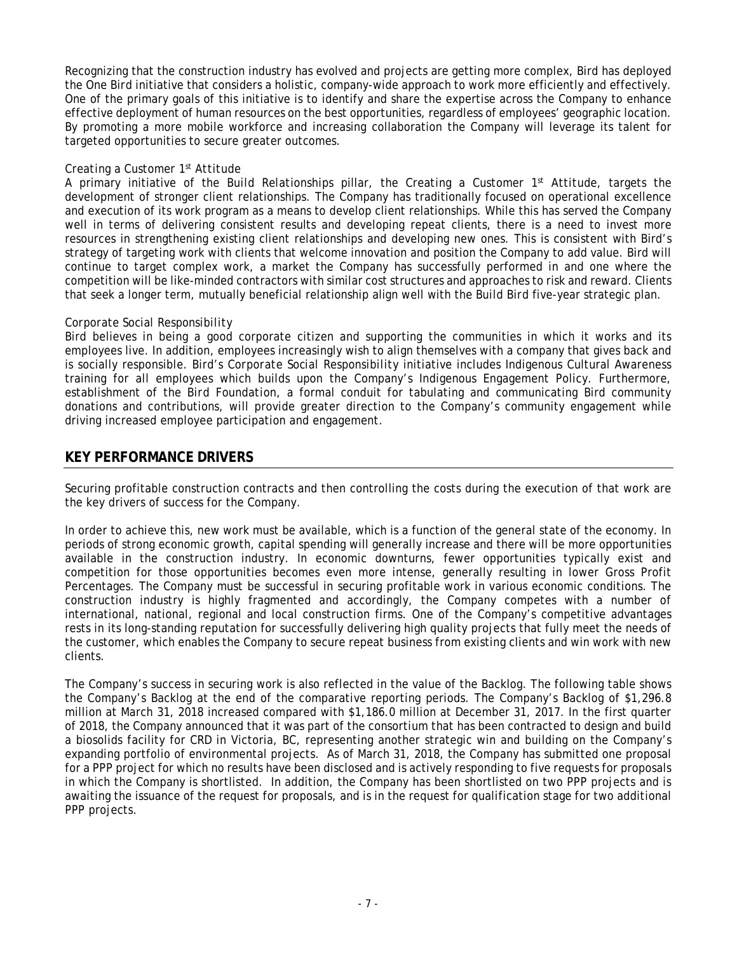Recognizing that the construction industry has evolved and projects are getting more complex, Bird has deployed the *One Bird* initiative that considers a holistic, company-wide approach to work more efficiently and effectively. One of the primary goals of this initiative is to identify and share the expertise across the Company to enhance effective deployment of human resources on the best opportunities, regardless of employees' geographic location. By promoting a more mobile workforce and increasing collaboration the Company will leverage its talent for targeted opportunities to secure greater outcomes.

### *Creating a Customer 1st Attitude*

A primary initiative of the *Build Relationships* pillar, the *Creating a Customer 1st Attitude*, targets the development of stronger client relationships. The Company has traditionally focused on operational excellence and execution of its work program as a means to develop client relationships. While this has served the Company well in terms of delivering consistent results and developing repeat clients, there is a need to invest more resources in strengthening existing client relationships and developing new ones. This is consistent with Bird's strategy of targeting work with clients that welcome innovation and position the Company to add value. Bird will continue to target complex work, a market the Company has successfully performed in and one where the competition will be like-minded contractors with similar cost structures and approaches to risk and reward. Clients that seek a longer term, mutually beneficial relationship align well with the *Build Bird* five-year strategic plan.

### *Corporate Social Responsibility*

Bird believes in being a good corporate citizen and supporting the communities in which it works and its employees live. In addition, employees increasingly wish to align themselves with a company that gives back and is socially responsible. Bird's *Corporate Social Responsibility* initiative includes Indigenous Cultural Awareness training for all employees which builds upon the Company's Indigenous Engagement Policy. Furthermore, establishment of the *Bird Foundation*, a formal conduit for tabulating and communicating Bird community donations and contributions, will provide greater direction to the Company's community engagement while driving increased employee participation and engagement.

# **KEY PERFORMANCE DRIVERS**

Securing profitable construction contracts and then controlling the costs during the execution of that work are the key drivers of success for the Company.

In order to achieve this, new work must be available, which is a function of the general state of the economy. In periods of strong economic growth, capital spending will generally increase and there will be more opportunities available in the construction industry. In economic downturns, fewer opportunities typically exist and competition for those opportunities becomes even more intense, generally resulting in lower Gross Profit Percentages. The Company must be successful in securing profitable work in various economic conditions. The construction industry is highly fragmented and accordingly, the Company competes with a number of international, national, regional and local construction firms. One of the Company's competitive advantages rests in its long-standing reputation for successfully delivering high quality projects that fully meet the needs of the customer, which enables the Company to secure repeat business from existing clients and win work with new clients.

The Company's success in securing work is also reflected in the value of the Backlog. The following table shows the Company's Backlog at the end of the comparative reporting periods. The Company's Backlog of \$1,296.8 million at March 31, 2018 increased compared with \$1,186.0 million at December 31, 2017. In the first quarter of 2018, the Company announced that it was part of the consortium that has been contracted to design and build a biosolids facility for CRD in Victoria, BC, representing another strategic win and building on the Company's expanding portfolio of environmental projects. As of March 31, 2018, the Company has submitted one proposal for a PPP project for which no results have been disclosed and is actively responding to five requests for proposals in which the Company is shortlisted. In addition, the Company has been shortlisted on two PPP projects and is awaiting the issuance of the request for proposals, and is in the request for qualification stage for two additional PPP projects.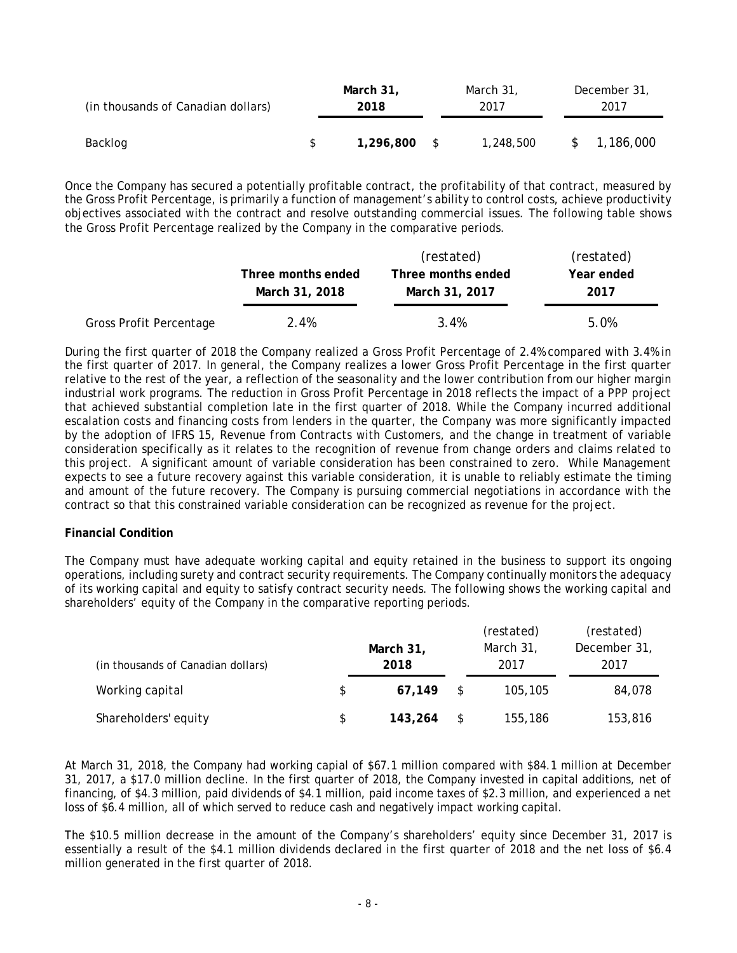| (in thousands of Canadian dollars) |  | March 31, |              | March 31, |  | December 31, |           |  |
|------------------------------------|--|-----------|--------------|-----------|--|--------------|-----------|--|
|                                    |  | 2018      |              | 2017      |  | 2017         |           |  |
| Backlog                            |  | 1,296,800 | $\mathbb{S}$ | 1,248,500 |  |              | 1,186,000 |  |

Once the Company has secured a potentially profitable contract, the profitability of that contract, measured by the Gross Profit Percentage, is primarily a function of management's ability to control costs, achieve productivity objectives associated with the contract and resolve outstanding commercial issues. The following table shows the Gross Profit Percentage realized by the Company in the comparative periods.

|                         |                    | (restated)         | (restated) |
|-------------------------|--------------------|--------------------|------------|
|                         | Three months ended | Three months ended | Year ended |
|                         | March 31, 2018     | March 31, 2017     | 2017       |
| Gross Profit Percentage | 2.4%               | 3.4%               | 5.0%       |

During the first quarter of 2018 the Company realized a Gross Profit Percentage of 2.4% compared with 3.4% in the first quarter of 2017. In general, the Company realizes a lower Gross Profit Percentage in the first quarter relative to the rest of the year, a reflection of the seasonality and the lower contribution from our higher margin industrial work programs. The reduction in Gross Profit Percentage in 2018 reflects the impact of a PPP project that achieved substantial completion late in the first quarter of 2018. While the Company incurred additional escalation costs and financing costs from lenders in the quarter, the Company was more significantly impacted by the adoption of IFRS 15, Revenue from Contracts with Customers, and the change in treatment of variable consideration specifically as it relates to the recognition of revenue from change orders and claims related to this project. A significant amount of variable consideration has been constrained to zero. While Management expects to see a future recovery against this variable consideration, it is unable to reliably estimate the timing and amount of the future recovery. The Company is pursuing commercial negotiations in accordance with the contract so that this constrained variable consideration can be recognized as revenue for the project.

### **Financial Condition**

The Company must have adequate working capital and equity retained in the business to support its ongoing operations, including surety and contract security requirements. The Company continually monitors the adequacy of its working capital and equity to satisfy contract security needs. The following shows the working capital and shareholders' equity of the Company in the comparative reporting periods.

|                                    |     |                   |    | (restated)        | (restated)           |
|------------------------------------|-----|-------------------|----|-------------------|----------------------|
| (in thousands of Canadian dollars) |     | March 31,<br>2018 |    | March 31,<br>2017 | December 31,<br>2017 |
| Working capital                    | \$. | 67.149            | S. | 105,105           | 84,078               |
| Shareholders' equity               | S.  | 143,264           |    | 155,186           | 153,816              |

At March 31, 2018, the Company had working capial of \$67.1 million compared with \$84.1 million at December 31, 2017, a \$17.0 million decline. In the first quarter of 2018, the Company invested in capital additions, net of financing, of \$4.3 million, paid dividends of \$4.1 million, paid income taxes of \$2.3 million, and experienced a net loss of \$6.4 million, all of which served to reduce cash and negatively impact working capital.

The \$10.5 million decrease in the amount of the Company's shareholders' equity since December 31, 2017 is essentially a result of the \$4.1 million dividends declared in the first quarter of 2018 and the net loss of \$6.4 million generated in the first quarter of 2018.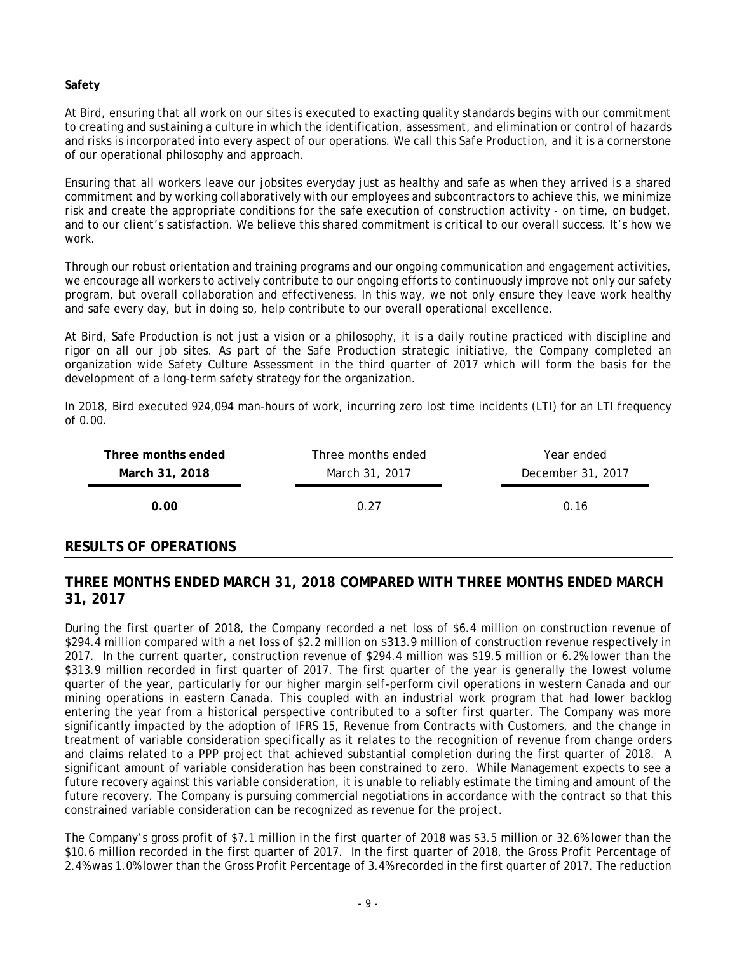### **Safety**

At Bird, ensuring that all work on our sites is executed to exacting quality standards begins with our commitment to creating and sustaining a culture in which the identification, assessment, and elimination or control of hazards and risks is incorporated into every aspect of our operations. We call this *Safe Production,* and it is a cornerstone of our operational philosophy and approach.

Ensuring that all workers leave our jobsites everyday just as healthy and safe as when they arrived is a shared commitment and by working collaboratively with our employees and subcontractors to achieve this, we minimize risk and create the appropriate conditions for the safe execution of construction activity - on time, on budget, and to our client's satisfaction. We believe this shared commitment is critical to our overall success. It's how we work.

Through our robust orientation and training programs and our ongoing communication and engagement activities, we encourage all workers to actively contribute to our ongoing efforts to continuously improve not only our safety program, but overall collaboration and effectiveness. In this way, we not only ensure they leave work healthy and safe every day, but in doing so, help contribute to our overall operational excellence.

At Bird, *Safe Production* is not just a vision or a philosophy, it is a daily routine practiced with discipline and rigor on all our job sites. As part of the *Safe Production* strategic initiative, the Company completed an organization wide Safety Culture Assessment in the third quarter of 2017 which will form the basis for the development of a long-term safety strategy for the organization.

In 2018, Bird executed 924,094 man-hours of work, incurring zero lost time incidents (LTI) for an LTI frequency of 0.00.

| Three months ended | Three months ended | Year ended        |
|--------------------|--------------------|-------------------|
| March 31, 2018     | March 31, 2017     | December 31, 2017 |
| 0.00               | በ 27               | 0.16              |

## **RESULTS OF OPERATIONS**

## **THREE MONTHS ENDED MARCH 31, 2018 COMPARED WITH THREE MONTHS ENDED MARCH 31, 2017**

During the first quarter of 2018, the Company recorded a net loss of \$6.4 million on construction revenue of \$294.4 million compared with a net loss of \$2.2 million on \$313.9 million of construction revenue respectively in 2017. In the current quarter, construction revenue of \$294.4 million was \$19.5 million or 6.2% lower than the \$313.9 million recorded in first quarter of 2017. The first quarter of the year is generally the lowest volume quarter of the year, particularly for our higher margin self-perform civil operations in western Canada and our mining operations in eastern Canada. This coupled with an industrial work program that had lower backlog entering the year from a historical perspective contributed to a softer first quarter. The Company was more significantly impacted by the adoption of IFRS 15, Revenue from Contracts with Customers, and the change in treatment of variable consideration specifically as it relates to the recognition of revenue from change orders and claims related to a PPP project that achieved substantial completion during the first quarter of 2018. A significant amount of variable consideration has been constrained to zero. While Management expects to see a future recovery against this variable consideration, it is unable to reliably estimate the timing and amount of the future recovery. The Company is pursuing commercial negotiations in accordance with the contract so that this constrained variable consideration can be recognized as revenue for the project.

The Company's gross profit of \$7.1 million in the first quarter of 2018 was \$3.5 million or 32.6% lower than the \$10.6 million recorded in the first quarter of 2017. In the first quarter of 2018, the Gross Profit Percentage of 2.4% was 1.0% lower than the Gross Profit Percentage of 3.4% recorded in the first quarter of 2017. The reduction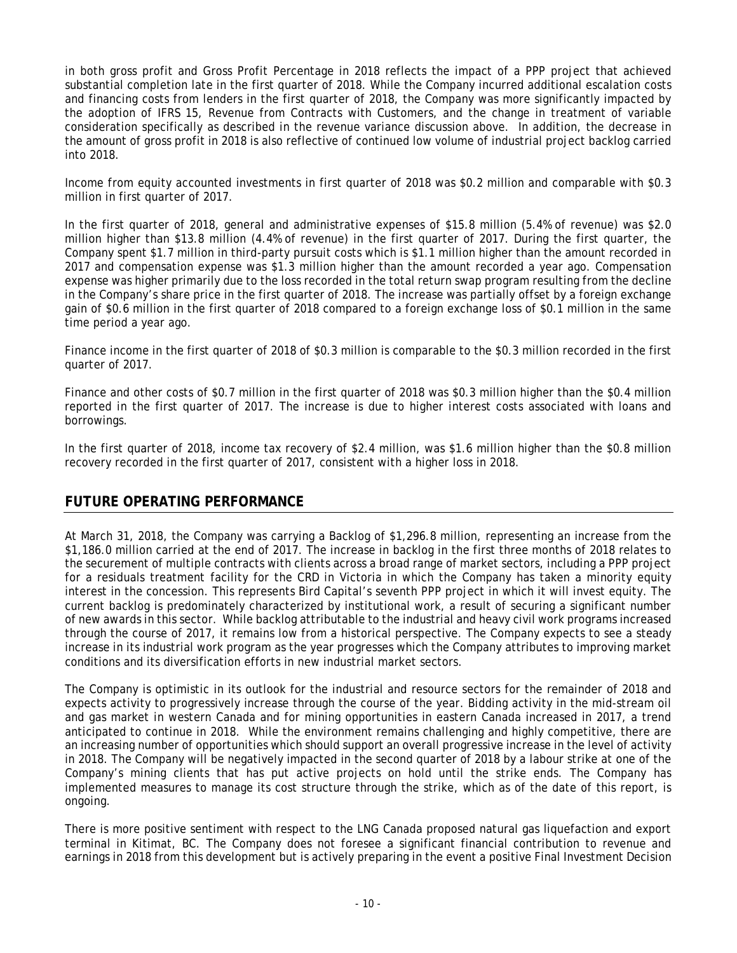in both gross profit and Gross Profit Percentage in 2018 reflects the impact of a PPP project that achieved substantial completion late in the first quarter of 2018. While the Company incurred additional escalation costs and financing costs from lenders in the first quarter of 2018, the Company was more significantly impacted by the adoption of IFRS 15, Revenue from Contracts with Customers, and the change in treatment of variable consideration specifically as described in the revenue variance discussion above. In addition, the decrease in the amount of gross profit in 2018 is also reflective of continued low volume of industrial project backlog carried into 2018.

Income from equity accounted investments in first quarter of 2018 was \$0.2 million and comparable with \$0.3 million in first quarter of 2017.

In the first quarter of 2018, general and administrative expenses of \$15.8 million (5.4% of revenue) was \$2.0 million higher than \$13.8 million (4.4% of revenue) in the first quarter of 2017. During the first quarter, the Company spent \$1.7 million in third-party pursuit costs which is \$1.1 million higher than the amount recorded in 2017 and compensation expense was \$1.3 million higher than the amount recorded a year ago. Compensation expense was higher primarily due to the loss recorded in the total return swap program resulting from the decline in the Company's share price in the first quarter of 2018. The increase was partially offset by a foreign exchange gain of \$0.6 million in the first quarter of 2018 compared to a foreign exchange loss of \$0.1 million in the same time period a year ago.

Finance income in the first quarter of 2018 of \$0.3 million is comparable to the \$0.3 million recorded in the first quarter of 2017.

Finance and other costs of \$0.7 million in the first quarter of 2018 was \$0.3 million higher than the \$0.4 million reported in the first quarter of 2017. The increase is due to higher interest costs associated with loans and borrowings.

In the first quarter of 2018, income tax recovery of \$2.4 million, was \$1.6 million higher than the \$0.8 million recovery recorded in the first quarter of 2017, consistent with a higher loss in 2018.

## **FUTURE OPERATING PERFORMANCE**

At March 31, 2018, the Company was carrying a Backlog of \$1,296.8 million, representing an increase from the \$1,186.0 million carried at the end of 2017. The increase in backlog in the first three months of 2018 relates to the securement of multiple contracts with clients across a broad range of market sectors, including a PPP project for a residuals treatment facility for the CRD in Victoria in which the Company has taken a minority equity interest in the concession. This represents Bird Capital's seventh PPP project in which it will invest equity. The current backlog is predominately characterized by institutional work, a result of securing a significant number of new awards in this sector. While backlog attributable to the industrial and heavy civil work programs increased through the course of 2017, it remains low from a historical perspective. The Company expects to see a steady increase in its industrial work program as the year progresses which the Company attributes to improving market conditions and its diversification efforts in new industrial market sectors.

The Company is optimistic in its outlook for the industrial and resource sectors for the remainder of 2018 and expects activity to progressively increase through the course of the year. Bidding activity in the mid-stream oil and gas market in western Canada and for mining opportunities in eastern Canada increased in 2017, a trend anticipated to continue in 2018. While the environment remains challenging and highly competitive, there are an increasing number of opportunities which should support an overall progressive increase in the level of activity in 2018. The Company will be negatively impacted in the second quarter of 2018 by a labour strike at one of the Company's mining clients that has put active projects on hold until the strike ends. The Company has implemented measures to manage its cost structure through the strike, which as of the date of this report, is ongoing.

There is more positive sentiment with respect to the LNG Canada proposed natural gas liquefaction and export terminal in Kitimat, BC. The Company does not foresee a significant financial contribution to revenue and earnings in 2018 from this development but is actively preparing in the event a positive Final Investment Decision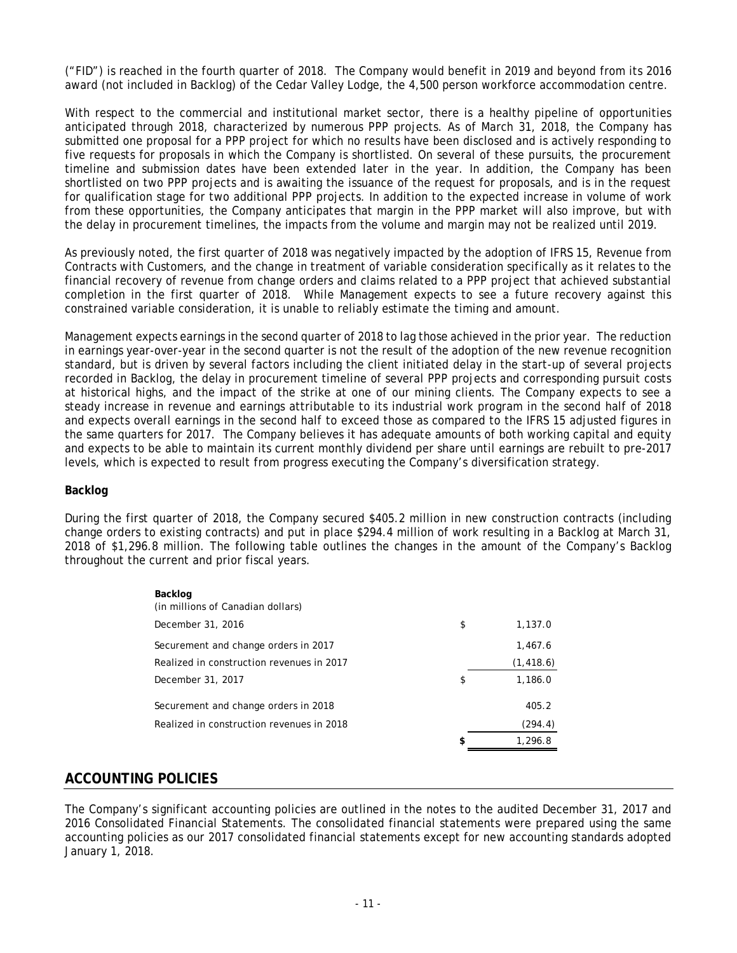("FID") is reached in the fourth quarter of 2018. The Company would benefit in 2019 and beyond from its 2016 award (not included in Backlog) of the Cedar Valley Lodge, the 4,500 person workforce accommodation centre.

With respect to the commercial and institutional market sector, there is a healthy pipeline of opportunities anticipated through 2018, characterized by numerous PPP projects. As of March 31, 2018, the Company has submitted one proposal for a PPP project for which no results have been disclosed and is actively responding to five requests for proposals in which the Company is shortlisted. On several of these pursuits, the procurement timeline and submission dates have been extended later in the year. In addition, the Company has been shortlisted on two PPP projects and is awaiting the issuance of the request for proposals, and is in the request for qualification stage for two additional PPP projects. In addition to the expected increase in volume of work from these opportunities, the Company anticipates that margin in the PPP market will also improve, but with the delay in procurement timelines, the impacts from the volume and margin may not be realized until 2019.

As previously noted, the first quarter of 2018 was negatively impacted by the adoption of IFRS 15, Revenue from Contracts with Customers, and the change in treatment of variable consideration specifically as it relates to the financial recovery of revenue from change orders and claims related to a PPP project that achieved substantial completion in the first quarter of 2018. While Management expects to see a future recovery against this constrained variable consideration, it is unable to reliably estimate the timing and amount.

Management expects earnings in the second quarter of 2018 to lag those achieved in the prior year. The reduction in earnings year-over-year in the second quarter is not the result of the adoption of the new revenue recognition standard, but is driven by several factors including the client initiated delay in the start-up of several projects recorded in Backlog, the delay in procurement timeline of several PPP projects and corresponding pursuit costs at historical highs, and the impact of the strike at one of our mining clients. The Company expects to see a steady increase in revenue and earnings attributable to its industrial work program in the second half of 2018 and expects overall earnings in the second half to exceed those as compared to the IFRS 15 adjusted figures in the same quarters for 2017. The Company believes it has adequate amounts of both working capital and equity and expects to be able to maintain its current monthly dividend per share until earnings are rebuilt to pre-2017 levels, which is expected to result from progress executing the Company's diversification strategy.

#### **Backlog**

During the first quarter of 2018, the Company secured \$405.2 million in new construction contracts (including change orders to existing contracts) and put in place \$294.4 million of work resulting in a Backlog at March 31, 2018 of \$1,296.8 million. The following table outlines the changes in the amount of the Company's Backlog throughout the current and prior fiscal years.

| Backlog<br>(in millions of Canadian dollars) |               |
|----------------------------------------------|---------------|
| December 31, 2016                            | \$<br>1,137.0 |
| Securement and change orders in 2017         | 1.467.6       |
| Realized in construction revenues in 2017    | (1, 418.6)    |
| December 31, 2017                            | \$<br>1,186.0 |
| Securement and change orders in 2018         | 405.2         |
| Realized in construction revenues in 2018    | (294.4)       |
|                                              | \$<br>1,296.8 |

# **ACCOUNTING POLICIES**

The Company's significant accounting policies are outlined in the notes to the audited December 31, 2017 and 2016 Consolidated Financial Statements. The consolidated financial statements were prepared using the same accounting policies as our 2017 consolidated financial statements except for new accounting standards adopted January 1, 2018.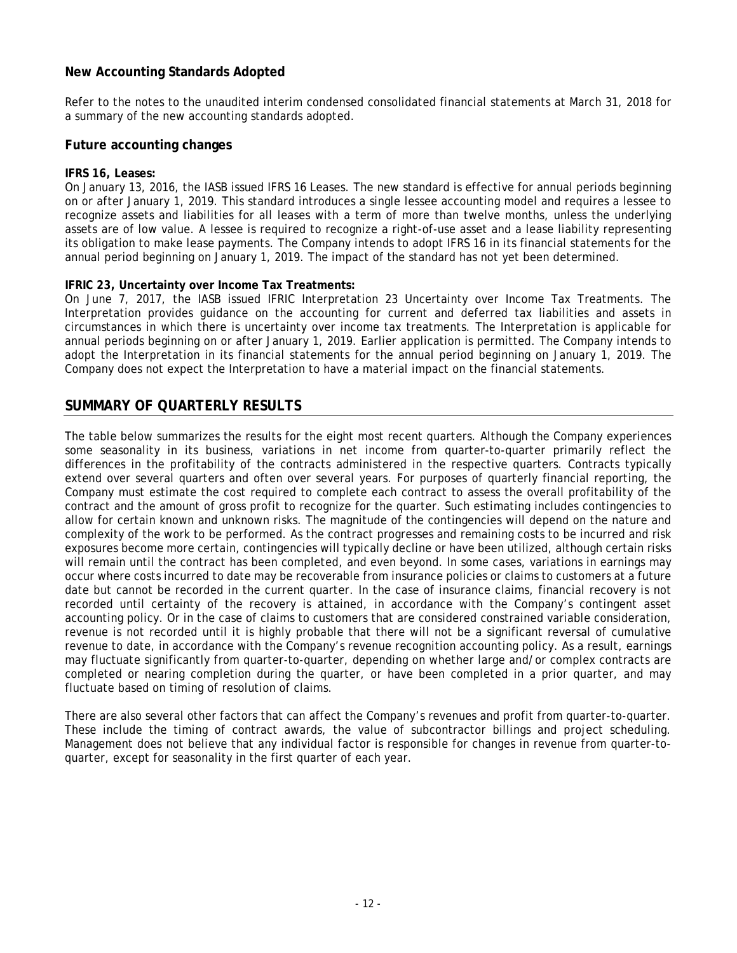## **New Accounting Standards Adopted**

Refer to the notes to the unaudited interim condensed consolidated financial statements at March 31, 2018 for a summary of the new accounting standards adopted.

#### **Future accounting changes**

#### **IFRS 16, Leases:**

On January 13, 2016, the IASB issued IFRS 16 Leases. The new standard is effective for annual periods beginning on or after January 1, 2019. This standard introduces a single lessee accounting model and requires a lessee to recognize assets and liabilities for all leases with a term of more than twelve months, unless the underlying assets are of low value. A lessee is required to recognize a right-of-use asset and a lease liability representing its obligation to make lease payments. The Company intends to adopt IFRS 16 in its financial statements for the annual period beginning on January 1, 2019. The impact of the standard has not yet been determined.

#### **IFRIC 23, Uncertainty over Income Tax Treatments:**

On June 7, 2017, the IASB issued IFRIC Interpretation 23 Uncertainty over Income Tax Treatments. The Interpretation provides guidance on the accounting for current and deferred tax liabilities and assets in circumstances in which there is uncertainty over income tax treatments. The Interpretation is applicable for annual periods beginning on or after January 1, 2019. Earlier application is permitted. The Company intends to adopt the Interpretation in its financial statements for the annual period beginning on January 1, 2019. The Company does not expect the Interpretation to have a material impact on the financial statements.

## **SUMMARY OF QUARTERLY RESULTS**

The table below summarizes the results for the eight most recent quarters. Although the Company experiences some seasonality in its business, variations in net income from quarter-to-quarter primarily reflect the differences in the profitability of the contracts administered in the respective quarters. Contracts typically extend over several quarters and often over several years. For purposes of quarterly financial reporting, the Company must estimate the cost required to complete each contract to assess the overall profitability of the contract and the amount of gross profit to recognize for the quarter. Such estimating includes contingencies to allow for certain known and unknown risks. The magnitude of the contingencies will depend on the nature and complexity of the work to be performed. As the contract progresses and remaining costs to be incurred and risk exposures become more certain, contingencies will typically decline or have been utilized, although certain risks will remain until the contract has been completed, and even beyond. In some cases, variations in earnings may occur where costs incurred to date may be recoverable from insurance policies or claims to customers at a future date but cannot be recorded in the current quarter. In the case of insurance claims, financial recovery is not recorded until certainty of the recovery is attained, in accordance with the Company's contingent asset accounting policy. Or in the case of claims to customers that are considered constrained variable consideration, revenue is not recorded until it is highly probable that there will not be a significant reversal of cumulative revenue to date, in accordance with the Company's revenue recognition accounting policy. As a result, earnings may fluctuate significantly from quarter-to-quarter, depending on whether large and/or complex contracts are completed or nearing completion during the quarter, or have been completed in a prior quarter, and may fluctuate based on timing of resolution of claims.

There are also several other factors that can affect the Company's revenues and profit from quarter-to-quarter. These include the timing of contract awards, the value of subcontractor billings and project scheduling. Management does not believe that any individual factor is responsible for changes in revenue from quarter-toquarter, except for seasonality in the first quarter of each year.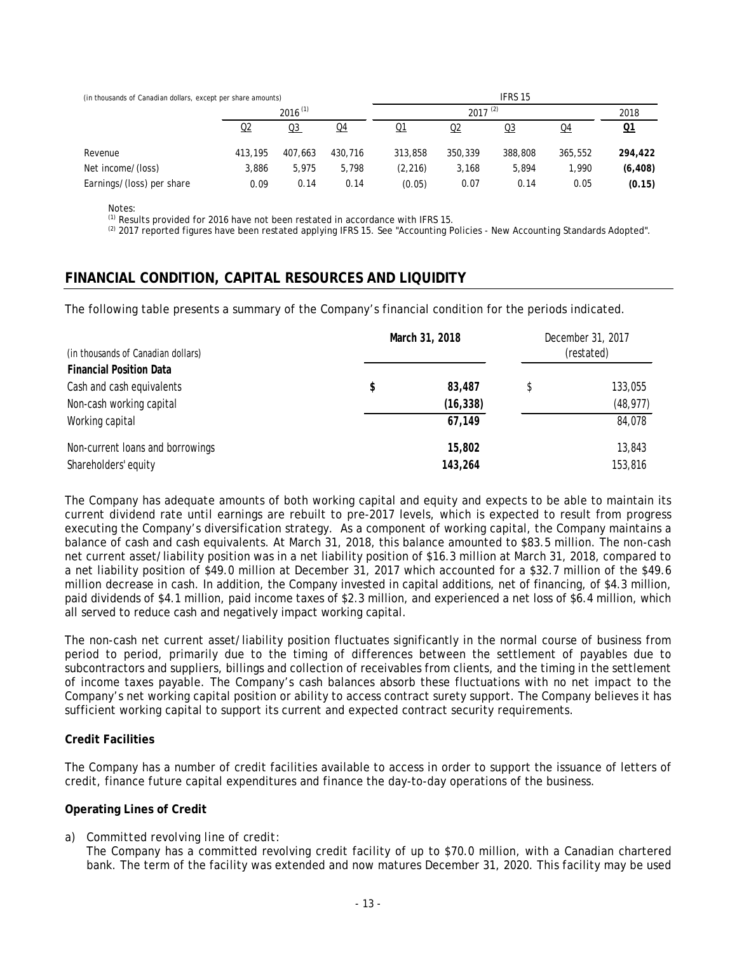| (in thousands of Canadian dollars, except per share amounts) |              |                |                | IFRS 15   |              |                |         |          |  |
|--------------------------------------------------------------|--------------|----------------|----------------|-----------|--------------|----------------|---------|----------|--|
|                                                              | $2016^{(1)}$ |                |                |           | $2017^{(2)}$ |                |         |          |  |
|                                                              | Q2           | Q <sub>3</sub> | Q <sub>4</sub> | <u>Q1</u> | <u>Q2</u>    | Q <sub>3</sub> | Q4      | Q1       |  |
| Revenue                                                      | 413,195      | 407.663        | 430,716        | 313,858   | 350,339      | 388,808        | 365,552 | 294,422  |  |
| Net income/(loss)                                            | 3.886        | 5.975          | 5.798          | (2, 216)  | 3,168        | 5,894          | 1.990   | (6, 408) |  |
| Earnings/(loss) per share                                    | 0.09         | 0.14           | 0.14           | (0.05)    | 0.07         | 0.14           | 0.05    | (0.15)   |  |

Notes:

 $(1)$  Results provided for 2016 have not been restated in accordance with IFRS 15.

<sup>(2)</sup> 2017 reported figures have been restated applying IFRS 15. See "Accounting Policies - New Accounting Standards Adopted".

# **FINANCIAL CONDITION, CAPITAL RESOURCES AND LIQUIDITY**

The following table presents a summary of the Company's financial condition for the periods indicated.

|                                    | March 31, 2018 | December 31, 2017 |            |  |
|------------------------------------|----------------|-------------------|------------|--|
| (in thousands of Canadian dollars) |                |                   | (restated) |  |
| <b>Financial Position Data</b>     |                |                   |            |  |
| Cash and cash equivalents          | \$<br>83,487   |                   | 133,055    |  |
| Non-cash working capital           | (16, 338)      |                   | (48, 977)  |  |
| Working capital                    | 67,149         |                   | 84,078     |  |
| Non-current loans and borrowings   | 15,802         |                   | 13,843     |  |
| Shareholders' equity               | 143,264        |                   | 153,816    |  |

The Company has adequate amounts of both working capital and equity and expects to be able to maintain its current dividend rate until earnings are rebuilt to pre-2017 levels, which is expected to result from progress executing the Company's diversification strategy. As a component of working capital, the Company maintains a balance of cash and cash equivalents. At March 31, 2018, this balance amounted to \$83.5 million. The non-cash net current asset/liability position was in a net liability position of \$16.3 million at March 31, 2018, compared to a net liability position of \$49.0 million at December 31, 2017 which accounted for a \$32.7 million of the \$49.6 million decrease in cash. In addition, the Company invested in capital additions, net of financing, of \$4.3 million, paid dividends of \$4.1 million, paid income taxes of \$2.3 million, and experienced a net loss of \$6.4 million, which all served to reduce cash and negatively impact working capital.

The non-cash net current asset/liability position fluctuates significantly in the normal course of business from period to period, primarily due to the timing of differences between the settlement of payables due to subcontractors and suppliers, billings and collection of receivables from clients, and the timing in the settlement of income taxes payable. The Company's cash balances absorb these fluctuations with no net impact to the Company's net working capital position or ability to access contract surety support. The Company believes it has sufficient working capital to support its current and expected contract security requirements.

### **Credit Facilities**

The Company has a number of credit facilities available to access in order to support the issuance of letters of credit, finance future capital expenditures and finance the day-to-day operations of the business.

### **Operating Lines of Credit**

### *a) Committed revolving line of credit:*

The Company has a committed revolving credit facility of up to \$70.0 million, with a Canadian chartered bank. The term of the facility was extended and now matures December 31, 2020. This facility may be used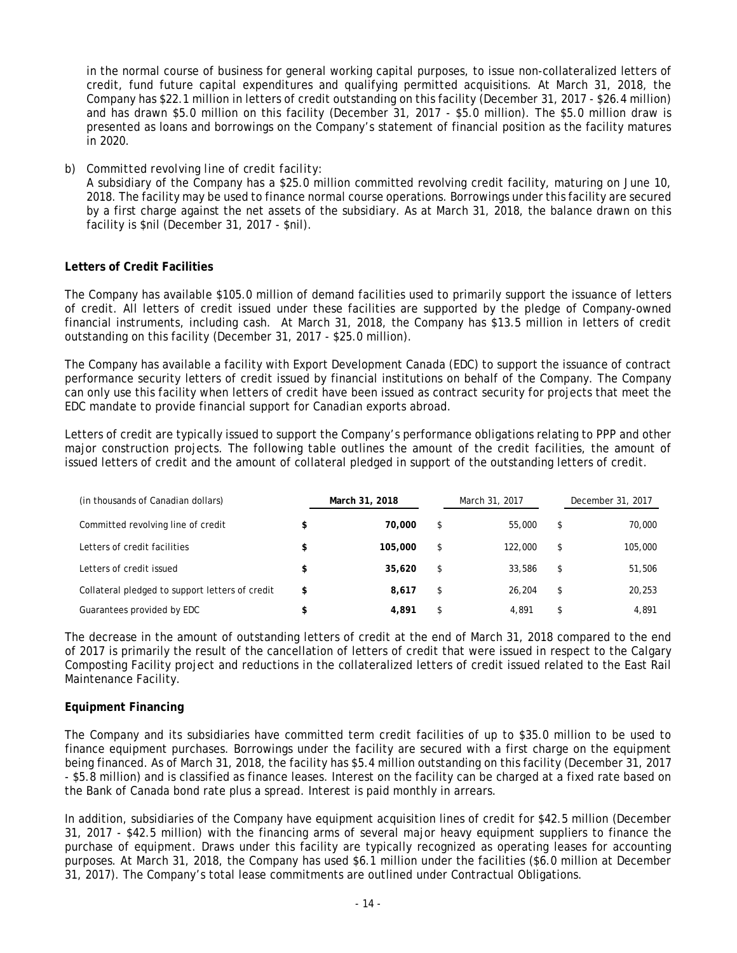in the normal course of business for general working capital purposes, to issue non-collateralized letters of credit, fund future capital expenditures and qualifying permitted acquisitions. At March 31, 2018, the Company has \$22.1 million in letters of credit outstanding on this facility (December 31, 2017 - \$26.4 million) and has drawn \$5.0 million on this facility (December 31, 2017 - \$5.0 million). The \$5.0 million draw is presented as loans and borrowings on the Company's statement of financial position as the facility matures in 2020.

*b) Committed revolving line of credit facility*:

A subsidiary of the Company has a \$25.0 million committed revolving credit facility, maturing on June 10, 2018. The facility may be used to finance normal course operations. Borrowings under this facility are secured by a first charge against the net assets of the subsidiary. As at March 31, 2018, the balance drawn on this facility is \$nil (December 31, 2017 - \$nil).

### **Letters of Credit Facilities**

The Company has available \$105.0 million of demand facilities used to primarily support the issuance of letters of credit. All letters of credit issued under these facilities are supported by the pledge of Company-owned financial instruments, including cash. At March 31, 2018, the Company has \$13.5 million in letters of credit outstanding on this facility (December 31, 2017 - \$25.0 million).

The Company has available a facility with Export Development Canada (EDC) to support the issuance of contract performance security letters of credit issued by financial institutions on behalf of the Company. The Company can only use this facility when letters of credit have been issued as contract security for projects that meet the EDC mandate to provide financial support for Canadian exports abroad.

Letters of credit are typically issued to support the Company's performance obligations relating to PPP and other major construction projects. The following table outlines the amount of the credit facilities, the amount of issued letters of credit and the amount of collateral pledged in support of the outstanding letters of credit.

| (in thousands of Canadian dollars)              |    | March 31, 2018 |    | March 31, 2017 |    | December 31, 2017 |  |
|-------------------------------------------------|----|----------------|----|----------------|----|-------------------|--|
| Committed revolving line of credit              |    | 70,000         | \$ | 55,000         | \$ | 70,000            |  |
| Letters of credit facilities                    |    | 105,000        | \$ | 122.000        | \$ | 105,000           |  |
| Letters of credit issued                        |    | 35,620         | \$ | 33,586         | \$ | 51,506            |  |
| Collateral pledged to support letters of credit | \$ | 8.617          | \$ | 26,204         | \$ | 20,253            |  |
| Guarantees provided by EDC                      |    | 4,891          | \$ | 4.891          | \$ | 4,891             |  |

The decrease in the amount of outstanding letters of credit at the end of March 31, 2018 compared to the end of 2017 is primarily the result of the cancellation of letters of credit that were issued in respect to the Calgary Composting Facility project and reductions in the collateralized letters of credit issued related to the East Rail Maintenance Facility.

### **Equipment Financing**

The Company and its subsidiaries have committed term credit facilities of up to \$35.0 million to be used to finance equipment purchases. Borrowings under the facility are secured with a first charge on the equipment being financed. As of March 31, 2018, the facility has \$5.4 million outstanding on this facility (December 31, 2017 - \$5.8 million) and is classified as finance leases. Interest on the facility can be charged at a fixed rate based on the Bank of Canada bond rate plus a spread. Interest is paid monthly in arrears.

In addition, subsidiaries of the Company have equipment acquisition lines of credit for \$42.5 million (December 31, 2017 - \$42.5 million) with the financing arms of several major heavy equipment suppliers to finance the purchase of equipment. Draws under this facility are typically recognized as operating leases for accounting purposes. At March 31, 2018, the Company has used \$6.1 million under the facilities (\$6.0 million at December 31, 2017). The Company's total lease commitments are outlined under Contractual Obligations.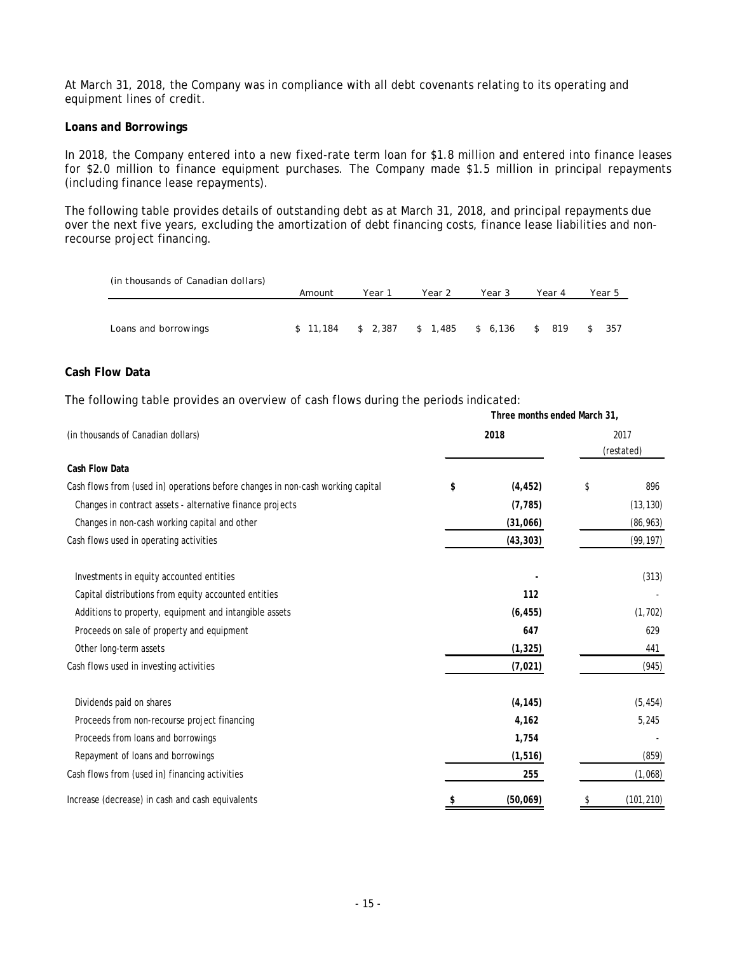At March 31, 2018, the Company was in compliance with all debt covenants relating to its operating and equipment lines of credit.

#### **Loans and Borrowings**

In 2018, the Company entered into a new fixed-rate term loan for \$1.8 million and entered into finance leases for \$2.0 million to finance equipment purchases. The Company made \$1.5 million in principal repayments (including finance lease repayments).

The following table provides details of outstanding debt as at March 31, 2018, and principal repayments due over the next five years, excluding the amortization of debt financing costs, finance lease liabilities and nonrecourse project financing.

| (in thousands of Canadian dollars) |        |                             |        |          |           |        |
|------------------------------------|--------|-----------------------------|--------|----------|-----------|--------|
|                                    | Amount | Year 1                      | Year 2 | Year 3   | Year 4    | Year 5 |
|                                    |        |                             |        |          |           |        |
| Loans and borrowings               |        | $$11,184$ $$2,387$ $$1,485$ |        | \$ 6.136 | 819<br>\$ | - 357  |

**Three months ended March 31,**

#### **Cash Flow Data**

The following table provides an overview of cash flows during the periods indicated:

| (in thousands of Canadian dollars)                                              | 2018 |           | 2017<br>(restated) |            |  |  |  |
|---------------------------------------------------------------------------------|------|-----------|--------------------|------------|--|--|--|
| Cash Flow Data                                                                  |      |           |                    |            |  |  |  |
| Cash flows from (used in) operations before changes in non-cash working capital | \$   | (4, 452)  | \$                 | 896        |  |  |  |
| Changes in contract assets - alternative finance projects                       |      | (7, 785)  |                    | (13, 130)  |  |  |  |
| Changes in non-cash working capital and other                                   |      | (31,066)  |                    | (86, 963)  |  |  |  |
| Cash flows used in operating activities                                         |      | (43, 303) |                    | (99, 197)  |  |  |  |
| Investments in equity accounted entities                                        |      |           |                    | (313)      |  |  |  |
| Capital distributions from equity accounted entities                            |      |           |                    |            |  |  |  |
| Additions to property, equipment and intangible assets                          |      | (6, 455)  |                    | (1, 702)   |  |  |  |
| Proceeds on sale of property and equipment                                      |      | 647       |                    | 629        |  |  |  |
| Other long-term assets                                                          |      | (1, 325)  |                    | 441        |  |  |  |
| Cash flows used in investing activities                                         |      | (7, 021)  |                    | (945)      |  |  |  |
| Dividends paid on shares                                                        |      | (4, 145)  |                    | (5, 454)   |  |  |  |
| Proceeds from non-recourse project financing                                    |      | 4,162     |                    | 5,245      |  |  |  |
| Proceeds from loans and borrowings                                              |      | 1,754     |                    |            |  |  |  |
| Repayment of loans and borrowings                                               |      | (1, 516)  |                    | (859)      |  |  |  |
| Cash flows from (used in) financing activities                                  |      | 255       |                    | (1,068)    |  |  |  |
| Increase (decrease) in cash and cash equivalents                                |      | (50,069)  | \$                 | (101, 210) |  |  |  |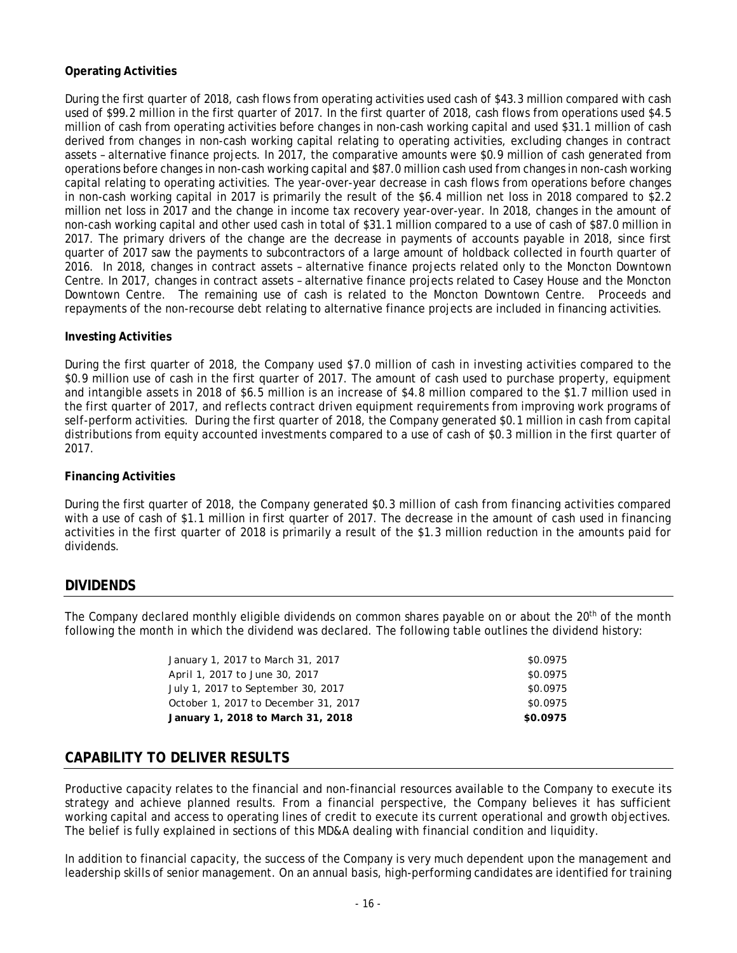### **Operating Activities**

During the first quarter of 2018, cash flows from operating activities used cash of \$43.3 million compared with cash used of \$99.2 million in the first quarter of 2017. In the first quarter of 2018, cash flows from operations used \$4.5 million of cash from operating activities before changes in non-cash working capital and used \$31.1 million of cash derived from changes in non-cash working capital relating to operating activities, excluding changes in contract assets – alternative finance projects. In 2017, the comparative amounts were \$0.9 million of cash generated from operations before changes in non-cash working capital and \$87.0 million cash used from changes in non-cash working capital relating to operating activities. The year-over-year decrease in cash flows from operations before changes in non-cash working capital in 2017 is primarily the result of the \$6.4 million net loss in 2018 compared to \$2.2 million net loss in 2017 and the change in income tax recovery year-over-year. In 2018, changes in the amount of non-cash working capital and other used cash in total of \$31.1 million compared to a use of cash of \$87.0 million in 2017. The primary drivers of the change are the decrease in payments of accounts payable in 2018, since first quarter of 2017 saw the payments to subcontractors of a large amount of holdback collected in fourth quarter of 2016. In 2018, changes in contract assets – alternative finance projects related only to the Moncton Downtown Centre. In 2017, changes in contract assets – alternative finance projects related to Casey House and the Moncton Downtown Centre. The remaining use of cash is related to the Moncton Downtown Centre. Proceeds and repayments of the non-recourse debt relating to alternative finance projects are included in financing activities.

### **Investing Activities**

During the first quarter of 2018, the Company used \$7.0 million of cash in investing activities compared to the \$0.9 million use of cash in the first quarter of 2017. The amount of cash used to purchase property, equipment and intangible assets in 2018 of \$6.5 million is an increase of \$4.8 million compared to the \$1.7 million used in the first quarter of 2017, and reflects contract driven equipment requirements from improving work programs of self-perform activities. During the first quarter of 2018, the Company generated \$0.1 million in cash from capital distributions from equity accounted investments compared to a use of cash of \$0.3 million in the first quarter of 2017.

### **Financing Activities**

During the first quarter of 2018, the Company generated \$0.3 million of cash from financing activities compared with a use of cash of \$1.1 million in first quarter of 2017. The decrease in the amount of cash used in financing activities in the first quarter of 2018 is primarily a result of the \$1.3 million reduction in the amounts paid for dividends.

# **DIVIDENDS**

The Company declared monthly eligible dividends on common shares payable on or about the 20<sup>th</sup> of the month following the month in which the dividend was declared. The following table outlines the dividend history:

| January 1, 2017 to March 31, 2017    | \$0.0975 |
|--------------------------------------|----------|
| April 1, 2017 to June 30, 2017       | \$0.0975 |
|                                      |          |
| July 1, 2017 to September 30, 2017   | \$0.0975 |
| October 1, 2017 to December 31, 2017 | \$0.0975 |
| January 1, 2018 to March 31, 2018    | \$0.0975 |
|                                      |          |

# **CAPABILITY TO DELIVER RESULTS**

Productive capacity relates to the financial and non-financial resources available to the Company to execute its strategy and achieve planned results. From a financial perspective, the Company believes it has sufficient working capital and access to operating lines of credit to execute its current operational and growth objectives. The belief is fully explained in sections of this MD&A dealing with financial condition and liquidity.

In addition to financial capacity, the success of the Company is very much dependent upon the management and leadership skills of senior management. On an annual basis, high-performing candidates are identified for training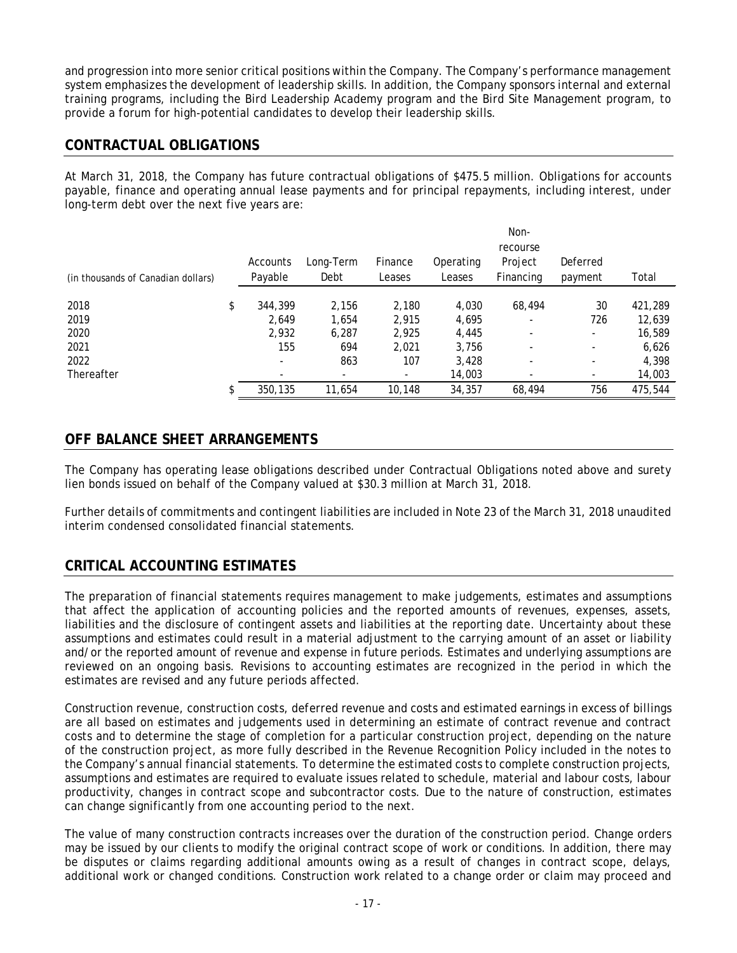and progression into more senior critical positions within the Company. The Company's performance management system emphasizes the development of leadership skills. In addition, the Company sponsors internal and external training programs, including the Bird Leadership Academy program and the Bird Site Management program, to provide a forum for high-potential candidates to develop their leadership skills.

# **CONTRACTUAL OBLIGATIONS**

At March 31, 2018, the Company has future contractual obligations of \$475.5 million. Obligations for accounts payable, finance and operating annual lease payments and for principal repayments, including interest, under long-term debt over the next five years are:

|                                    |                          |                          |                          | Non-      |                          |                          |         |  |  |
|------------------------------------|--------------------------|--------------------------|--------------------------|-----------|--------------------------|--------------------------|---------|--|--|
|                                    |                          |                          |                          |           | recourse                 |                          |         |  |  |
|                                    | Accounts                 | Long-Term                | Finance                  | Operating | Project                  | Deferred                 |         |  |  |
| (in thousands of Canadian dollars) | Payable                  | Debt                     | Leases                   | Leases    | Financing                | payment                  | Total   |  |  |
|                                    |                          |                          |                          |           |                          |                          |         |  |  |
| 2018                               | \$<br>344,399            | 2,156                    | 2,180                    | 4,030     | 68,494                   | 30                       | 421,289 |  |  |
| 2019                               | 2.649                    | 1,654                    | 2,915                    | 4,695     | $\overline{\phantom{0}}$ | 726                      | 12,639  |  |  |
| 2020                               | 2,932                    | 6,287                    | 2,925                    | 4,445     |                          | $\overline{\phantom{a}}$ | 16,589  |  |  |
| 2021                               | 155                      | 694                      | 2,021                    | 3,756     | $\overline{\phantom{a}}$ |                          | 6,626   |  |  |
| 2022                               | $\overline{\phantom{a}}$ | 863                      | 107                      | 3,428     | ۰                        |                          | 4,398   |  |  |
| Thereafter                         | $\overline{\phantom{a}}$ | $\overline{\phantom{a}}$ | $\overline{\phantom{a}}$ | 14,003    | ٠                        |                          | 14,003  |  |  |
|                                    | \$<br>350,135            | 11,654                   | 10,148                   | 34,357    | 68,494                   | 756                      | 475,544 |  |  |

# **OFF BALANCE SHEET ARRANGEMENTS**

The Company has operating lease obligations described under Contractual Obligations noted above and surety lien bonds issued on behalf of the Company valued at \$30.3 million at March 31, 2018.

Further details of commitments and contingent liabilities are included in Note 23 of the March 31, 2018 unaudited interim condensed consolidated financial statements.

# **CRITICAL ACCOUNTING ESTIMATES**

The preparation of financial statements requires management to make judgements, estimates and assumptions that affect the application of accounting policies and the reported amounts of revenues, expenses, assets, liabilities and the disclosure of contingent assets and liabilities at the reporting date. Uncertainty about these assumptions and estimates could result in a material adjustment to the carrying amount of an asset or liability and/or the reported amount of revenue and expense in future periods. Estimates and underlying assumptions are reviewed on an ongoing basis. Revisions to accounting estimates are recognized in the period in which the estimates are revised and any future periods affected.

Construction revenue, construction costs, deferred revenue and costs and estimated earnings in excess of billings are all based on estimates and judgements used in determining an estimate of contract revenue and contract costs and to determine the stage of completion for a particular construction project, depending on the nature of the construction project, as more fully described in the Revenue Recognition Policy included in the notes to the Company's annual financial statements. To determine the estimated costs to complete construction projects, assumptions and estimates are required to evaluate issues related to schedule, material and labour costs, labour productivity, changes in contract scope and subcontractor costs. Due to the nature of construction, estimates can change significantly from one accounting period to the next.

The value of many construction contracts increases over the duration of the construction period. Change orders may be issued by our clients to modify the original contract scope of work or conditions. In addition, there may be disputes or claims regarding additional amounts owing as a result of changes in contract scope, delays, additional work or changed conditions. Construction work related to a change order or claim may proceed and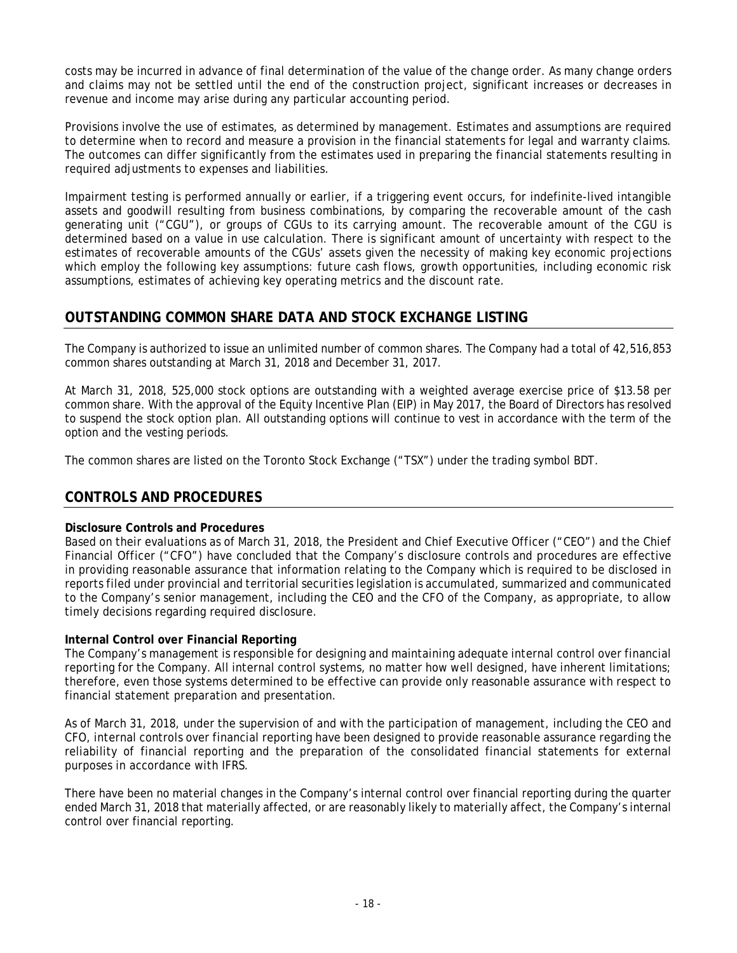costs may be incurred in advance of final determination of the value of the change order. As many change orders and claims may not be settled until the end of the construction project, significant increases or decreases in revenue and income may arise during any particular accounting period.

Provisions involve the use of estimates, as determined by management. Estimates and assumptions are required to determine when to record and measure a provision in the financial statements for legal and warranty claims. The outcomes can differ significantly from the estimates used in preparing the financial statements resulting in required adjustments to expenses and liabilities.

Impairment testing is performed annually or earlier, if a triggering event occurs, for indefinite-lived intangible assets and goodwill resulting from business combinations, by comparing the recoverable amount of the cash generating unit ("CGU"), or groups of CGUs to its carrying amount. The recoverable amount of the CGU is determined based on a value in use calculation. There is significant amount of uncertainty with respect to the estimates of recoverable amounts of the CGUs' assets given the necessity of making key economic projections which employ the following key assumptions: future cash flows, growth opportunities, including economic risk assumptions, estimates of achieving key operating metrics and the discount rate.

# **OUTSTANDING COMMON SHARE DATA AND STOCK EXCHANGE LISTING**

The Company is authorized to issue an unlimited number of common shares. The Company had a total of 42,516,853 common shares outstanding at March 31, 2018 and December 31, 2017.

At March 31, 2018, 525,000 stock options are outstanding with a weighted average exercise price of \$13.58 per common share. With the approval of the Equity Incentive Plan (EIP) in May 2017, the Board of Directors has resolved to suspend the stock option plan. All outstanding options will continue to vest in accordance with the term of the option and the vesting periods.

The common shares are listed on the Toronto Stock Exchange ("TSX") under the trading symbol BDT.

# **CONTROLS AND PROCEDURES**

### **Disclosure Controls and Procedures**

Based on their evaluations as of March 31, 2018, the President and Chief Executive Officer ("CEO") and the Chief Financial Officer ("CFO") have concluded that the Company's disclosure controls and procedures are effective in providing reasonable assurance that information relating to the Company which is required to be disclosed in reports filed under provincial and territorial securities legislation is accumulated, summarized and communicated to the Company's senior management, including the CEO and the CFO of the Company, as appropriate, to allow timely decisions regarding required disclosure.

### **Internal Control over Financial Reporting**

The Company's management is responsible for designing and maintaining adequate internal control over financial reporting for the Company. All internal control systems, no matter how well designed, have inherent limitations; therefore, even those systems determined to be effective can provide only reasonable assurance with respect to financial statement preparation and presentation.

As of March 31, 2018, under the supervision of and with the participation of management, including the CEO and CFO, internal controls over financial reporting have been designed to provide reasonable assurance regarding the reliability of financial reporting and the preparation of the consolidated financial statements for external purposes in accordance with IFRS.

There have been no material changes in the Company's internal control over financial reporting during the quarter ended March 31, 2018 that materially affected, or are reasonably likely to materially affect, the Company's internal control over financial reporting.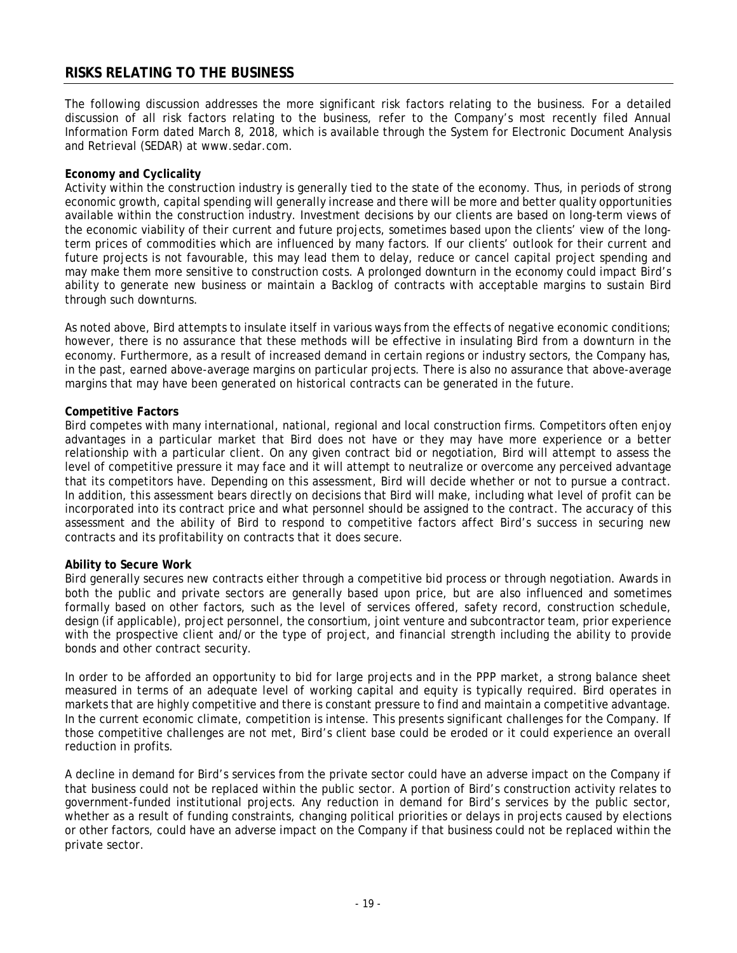## **RISKS RELATING TO THE BUSINESS**

The following discussion addresses the more significant risk factors relating to the business. For a detailed discussion of all risk factors relating to the business, refer to the Company's most recently filed Annual Information Form dated March 8, 2018, which is available through the System for Electronic Document Analysis and Retrieval (SEDAR) at www.sedar.com.

#### **Economy and Cyclicality**

Activity within the construction industry is generally tied to the state of the economy. Thus, in periods of strong economic growth, capital spending will generally increase and there will be more and better quality opportunities available within the construction industry. Investment decisions by our clients are based on long-term views of the economic viability of their current and future projects, sometimes based upon the clients' view of the longterm prices of commodities which are influenced by many factors. If our clients' outlook for their current and future projects is not favourable, this may lead them to delay, reduce or cancel capital project spending and may make them more sensitive to construction costs. A prolonged downturn in the economy could impact Bird's ability to generate new business or maintain a Backlog of contracts with acceptable margins to sustain Bird through such downturns.

As noted above, Bird attempts to insulate itself in various ways from the effects of negative economic conditions; however, there is no assurance that these methods will be effective in insulating Bird from a downturn in the economy. Furthermore, as a result of increased demand in certain regions or industry sectors, the Company has, in the past, earned above-average margins on particular projects. There is also no assurance that above-average margins that may have been generated on historical contracts can be generated in the future.

#### **Competitive Factors**

Bird competes with many international, national, regional and local construction firms. Competitors often enjoy advantages in a particular market that Bird does not have or they may have more experience or a better relationship with a particular client. On any given contract bid or negotiation, Bird will attempt to assess the level of competitive pressure it may face and it will attempt to neutralize or overcome any perceived advantage that its competitors have. Depending on this assessment, Bird will decide whether or not to pursue a contract. In addition, this assessment bears directly on decisions that Bird will make, including what level of profit can be incorporated into its contract price and what personnel should be assigned to the contract. The accuracy of this assessment and the ability of Bird to respond to competitive factors affect Bird's success in securing new contracts and its profitability on contracts that it does secure.

#### **Ability to Secure Work**

Bird generally secures new contracts either through a competitive bid process or through negotiation. Awards in both the public and private sectors are generally based upon price, but are also influenced and sometimes formally based on other factors, such as the level of services offered, safety record, construction schedule, design (if applicable), project personnel, the consortium, joint venture and subcontractor team, prior experience with the prospective client and/or the type of project, and financial strength including the ability to provide bonds and other contract security.

In order to be afforded an opportunity to bid for large projects and in the PPP market, a strong balance sheet measured in terms of an adequate level of working capital and equity is typically required. Bird operates in markets that are highly competitive and there is constant pressure to find and maintain a competitive advantage. In the current economic climate, competition is intense. This presents significant challenges for the Company. If those competitive challenges are not met, Bird's client base could be eroded or it could experience an overall reduction in profits.

A decline in demand for Bird's services from the private sector could have an adverse impact on the Company if that business could not be replaced within the public sector. A portion of Bird's construction activity relates to government-funded institutional projects. Any reduction in demand for Bird's services by the public sector, whether as a result of funding constraints, changing political priorities or delays in projects caused by elections or other factors, could have an adverse impact on the Company if that business could not be replaced within the private sector.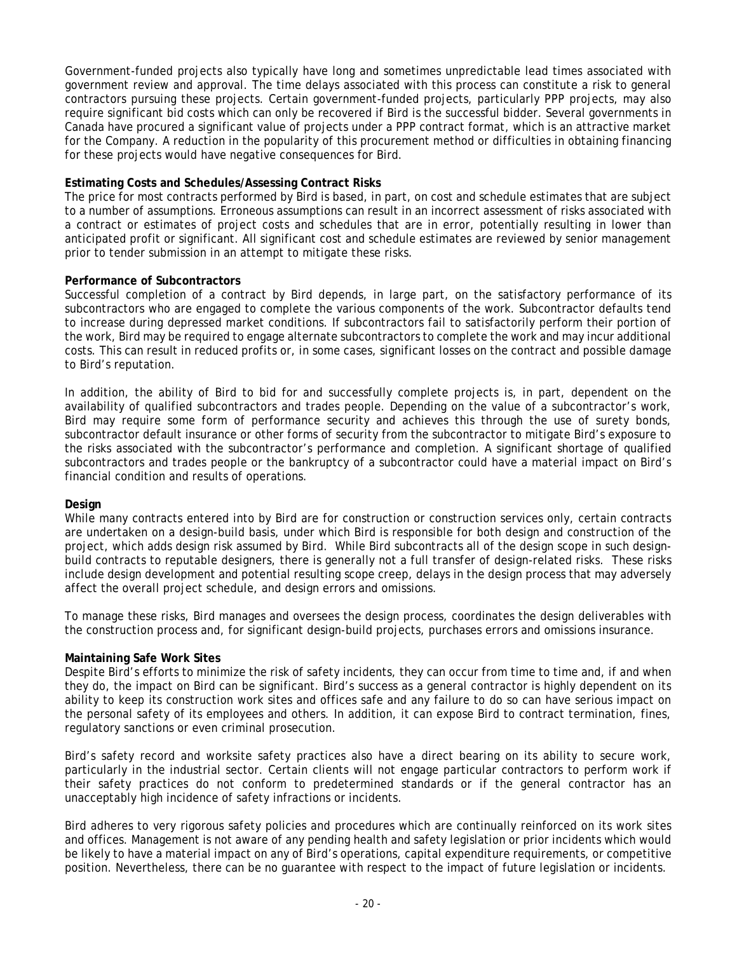Government-funded projects also typically have long and sometimes unpredictable lead times associated with government review and approval. The time delays associated with this process can constitute a risk to general contractors pursuing these projects. Certain government-funded projects, particularly PPP projects, may also require significant bid costs which can only be recovered if Bird is the successful bidder. Several governments in Canada have procured a significant value of projects under a PPP contract format, which is an attractive market for the Company. A reduction in the popularity of this procurement method or difficulties in obtaining financing for these projects would have negative consequences for Bird.

#### **Estimating Costs and Schedules/Assessing Contract Risks**

The price for most contracts performed by Bird is based, in part, on cost and schedule estimates that are subject to a number of assumptions. Erroneous assumptions can result in an incorrect assessment of risks associated with a contract or estimates of project costs and schedules that are in error, potentially resulting in lower than anticipated profit or significant. All significant cost and schedule estimates are reviewed by senior management prior to tender submission in an attempt to mitigate these risks.

#### **Performance of Subcontractors**

Successful completion of a contract by Bird depends, in large part, on the satisfactory performance of its subcontractors who are engaged to complete the various components of the work. Subcontractor defaults tend to increase during depressed market conditions. If subcontractors fail to satisfactorily perform their portion of the work, Bird may be required to engage alternate subcontractors to complete the work and may incur additional costs. This can result in reduced profits or, in some cases, significant losses on the contract and possible damage to Bird's reputation.

In addition, the ability of Bird to bid for and successfully complete projects is, in part, dependent on the availability of qualified subcontractors and trades people. Depending on the value of a subcontractor's work, Bird may require some form of performance security and achieves this through the use of surety bonds, subcontractor default insurance or other forms of security from the subcontractor to mitigate Bird's exposure to the risks associated with the subcontractor's performance and completion. A significant shortage of qualified subcontractors and trades people or the bankruptcy of a subcontractor could have a material impact on Bird's financial condition and results of operations.

#### **Design**

While many contracts entered into by Bird are for construction or construction services only, certain contracts are undertaken on a design-build basis, under which Bird is responsible for both design and construction of the project, which adds design risk assumed by Bird. While Bird subcontracts all of the design scope in such designbuild contracts to reputable designers, there is generally not a full transfer of design-related risks. These risks include design development and potential resulting scope creep, delays in the design process that may adversely affect the overall project schedule, and design errors and omissions.

To manage these risks, Bird manages and oversees the design process, coordinates the design deliverables with the construction process and, for significant design-build projects, purchases errors and omissions insurance.

### **Maintaining Safe Work Sites**

Despite Bird's efforts to minimize the risk of safety incidents, they can occur from time to time and, if and when they do, the impact on Bird can be significant. Bird's success as a general contractor is highly dependent on its ability to keep its construction work sites and offices safe and any failure to do so can have serious impact on the personal safety of its employees and others. In addition, it can expose Bird to contract termination, fines, regulatory sanctions or even criminal prosecution.

Bird's safety record and worksite safety practices also have a direct bearing on its ability to secure work, particularly in the industrial sector. Certain clients will not engage particular contractors to perform work if their safety practices do not conform to predetermined standards or if the general contractor has an unacceptably high incidence of safety infractions or incidents.

Bird adheres to very rigorous safety policies and procedures which are continually reinforced on its work sites and offices. Management is not aware of any pending health and safety legislation or prior incidents which would be likely to have a material impact on any of Bird's operations, capital expenditure requirements, or competitive position. Nevertheless, there can be no guarantee with respect to the impact of future legislation or incidents.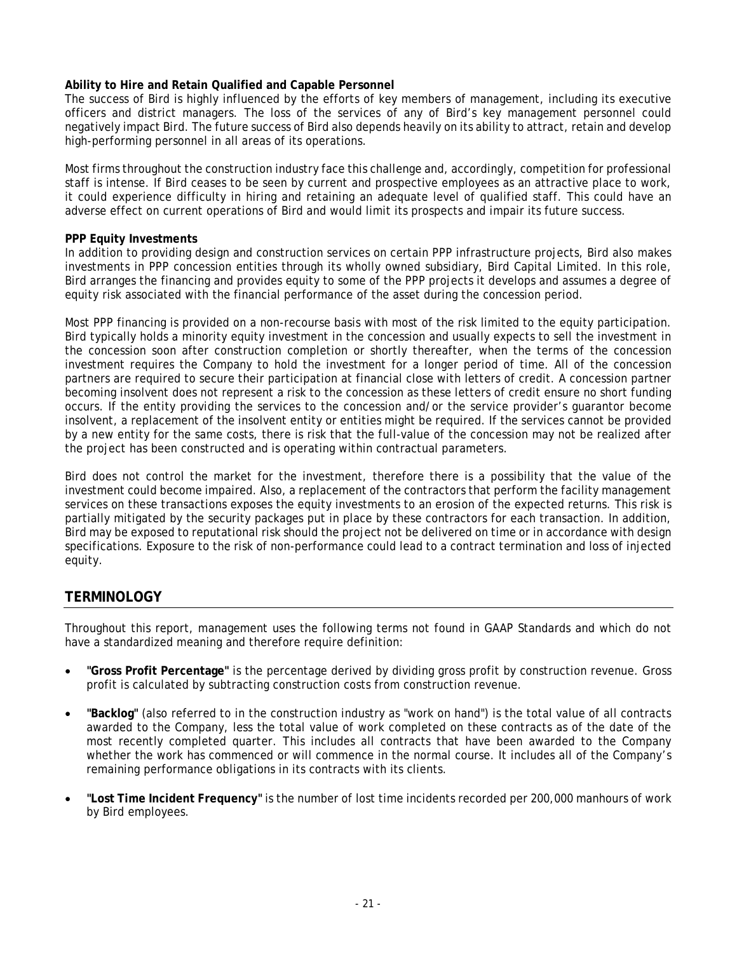### **Ability to Hire and Retain Qualified and Capable Personnel**

The success of Bird is highly influenced by the efforts of key members of management, including its executive officers and district managers. The loss of the services of any of Bird's key management personnel could negatively impact Bird. The future success of Bird also depends heavily on its ability to attract, retain and develop high-performing personnel in all areas of its operations.

Most firms throughout the construction industry face this challenge and, accordingly, competition for professional staff is intense. If Bird ceases to be seen by current and prospective employees as an attractive place to work, it could experience difficulty in hiring and retaining an adequate level of qualified staff. This could have an adverse effect on current operations of Bird and would limit its prospects and impair its future success.

#### **PPP Equity Investments**

In addition to providing design and construction services on certain PPP infrastructure projects, Bird also makes investments in PPP concession entities through its wholly owned subsidiary, Bird Capital Limited. In this role, Bird arranges the financing and provides equity to some of the PPP projects it develops and assumes a degree of equity risk associated with the financial performance of the asset during the concession period.

Most PPP financing is provided on a non-recourse basis with most of the risk limited to the equity participation. Bird typically holds a minority equity investment in the concession and usually expects to sell the investment in the concession soon after construction completion or shortly thereafter, when the terms of the concession investment requires the Company to hold the investment for a longer period of time. All of the concession partners are required to secure their participation at financial close with letters of credit. A concession partner becoming insolvent does not represent a risk to the concession as these letters of credit ensure no short funding occurs. If the entity providing the services to the concession and/or the service provider's guarantor become insolvent, a replacement of the insolvent entity or entities might be required. If the services cannot be provided by a new entity for the same costs, there is risk that the full-value of the concession may not be realized after the project has been constructed and is operating within contractual parameters.

Bird does not control the market for the investment, therefore there is a possibility that the value of the investment could become impaired. Also, a replacement of the contractors that perform the facility management services on these transactions exposes the equity investments to an erosion of the expected returns. This risk is partially mitigated by the security packages put in place by these contractors for each transaction. In addition, Bird may be exposed to reputational risk should the project not be delivered on time or in accordance with design specifications. Exposure to the risk of non-performance could lead to a contract termination and loss of injected equity.

## **TERMINOLOGY**

Throughout this report, management uses the following terms not found in GAAP Standards and which do not have a standardized meaning and therefore require definition:

- **"Gross Profit Percentage"** is the percentage derived by dividing gross profit by construction revenue. Gross profit is calculated by subtracting construction costs from construction revenue.
- **"Backlog"** (also referred to in the construction industry as "work on hand") is the total value of all contracts awarded to the Company, less the total value of work completed on these contracts as of the date of the most recently completed quarter. This includes all contracts that have been awarded to the Company whether the work has commenced or will commence in the normal course. It includes all of the Company's remaining performance obligations in its contracts with its clients.
- **"Lost Time Incident Frequency"** is the number of lost time incidents recorded per 200,000 manhours of work by Bird employees.